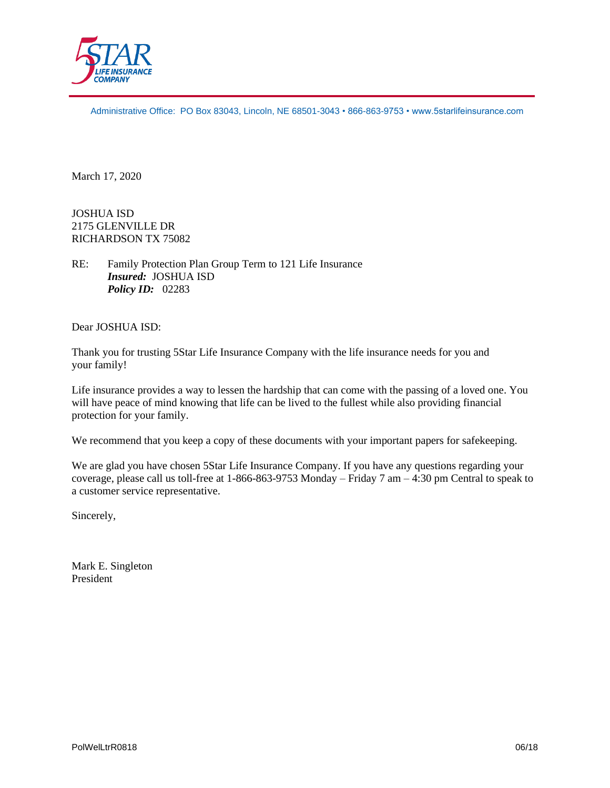

Administrative Office: PO Box 83043, Lincoln, NE 68501-3043 • 866-863-9753 • www.5starlifeinsurance.com

March 17, 2020

JOSHUA ISD 2175 GLENVILLE DR RICHARDSON TX 75082

RE: Family Protection Plan Group Term to 121 Life Insurance *Insured:* JOSHUA ISD *Policy ID:* 02283

Dear JOSHUA ISD:

Thank you for trusting 5Star Life Insurance Company with the life insurance needs for you and your family!

Life insurance provides a way to lessen the hardship that can come with the passing of a loved one. You will have peace of mind knowing that life can be lived to the fullest while also providing financial protection for your family.

We recommend that you keep a copy of these documents with your important papers for safekeeping.

We are glad you have chosen 5Star Life Insurance Company. If you have any questions regarding your coverage, please call us toll-free at 1-866-863-9753 Monday – Friday 7 am – 4:30 pm Central to speak to a customer service representative.

Sincerely,

Mark E. Singleton President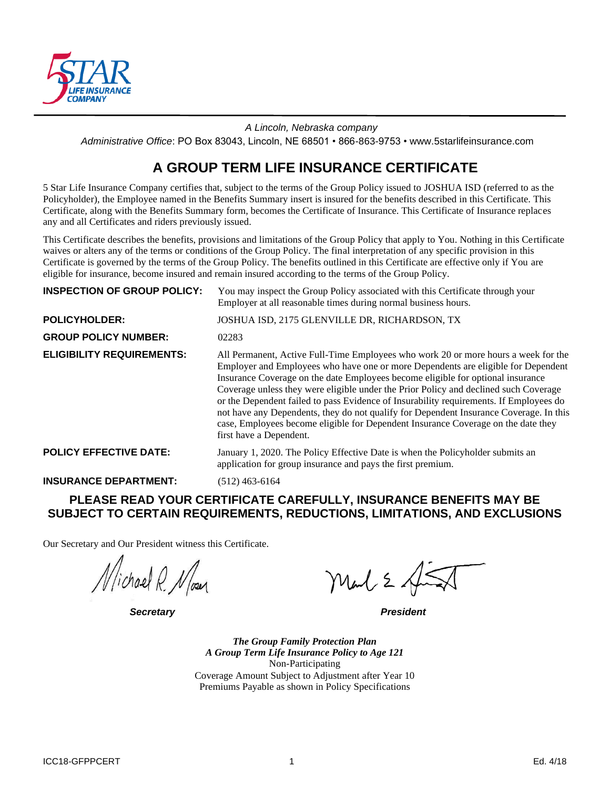

*A Lincoln, Nebraska company*

*Administrative Office*: PO Box 83043, Lincoln, NE 68501 • 866-863-9753 • [www.5starlifeinsurance.com](http://www.5starlifeinsurance.com/)

## **A GROUP TERM LIFE INSURANCE CERTIFICATE**

5 Star Life Insurance Company certifies that, subject to the terms of the Group Policy issued to JOSHUA ISD (referred to as the Policyholder), the Employee named in the Benefits Summary insert is insured for the benefits described in this Certificate. This Certificate, along with the Benefits Summary form, becomes the Certificate of Insurance. This Certificate of Insurance replaces any and all Certificates and riders previously issued.

This Certificate describes the benefits, provisions and limitations of the Group Policy that apply to You. Nothing in this Certificate waives or alters any of the terms or conditions of the Group Policy. The final interpretation of any specific provision in this Certificate is governed by the terms of the Group Policy. The benefits outlined in this Certificate are effective only if You are eligible for insurance, become insured and remain insured according to the terms of the Group Policy.

| <b>INSPECTION OF GROUP POLICY:</b> | You may inspect the Group Policy associated with this Certificate through your<br>Employer at all reasonable times during normal business hours.                                                                                                                                                                                                                                                                                                                                                                                                                                                                                                       |
|------------------------------------|--------------------------------------------------------------------------------------------------------------------------------------------------------------------------------------------------------------------------------------------------------------------------------------------------------------------------------------------------------------------------------------------------------------------------------------------------------------------------------------------------------------------------------------------------------------------------------------------------------------------------------------------------------|
| <b>POLICYHOLDER:</b>               | JOSHUA ISD, 2175 GLENVILLE DR, RICHARDSON, TX                                                                                                                                                                                                                                                                                                                                                                                                                                                                                                                                                                                                          |
| <b>GROUP POLICY NUMBER:</b>        | 02283                                                                                                                                                                                                                                                                                                                                                                                                                                                                                                                                                                                                                                                  |
| <b>ELIGIBILITY REQUIREMENTS:</b>   | All Permanent, Active Full-Time Employees who work 20 or more hours a week for the<br>Employer and Employees who have one or more Dependents are eligible for Dependent<br>Insurance Coverage on the date Employees become eligible for optional insurance<br>Coverage unless they were eligible under the Prior Policy and declined such Coverage<br>or the Dependent failed to pass Evidence of Insurability requirements. If Employees do<br>not have any Dependents, they do not qualify for Dependent Insurance Coverage. In this<br>case, Employees become eligible for Dependent Insurance Coverage on the date they<br>first have a Dependent. |
| <b>POLICY EFFECTIVE DATE:</b>      | January 1, 2020. The Policy Effective Date is when the Policyholder submits an<br>application for group insurance and pays the first premium.                                                                                                                                                                                                                                                                                                                                                                                                                                                                                                          |

#### **INSURANCE DEPARTMENT:** (512) 463-6164

### **PLEASE READ YOUR CERTIFICATE CAREFULLY, INSURANCE BENEFITS MAY BE SUBJECT TO CERTAIN REQUIREMENTS, REDUCTIONS, LIMITATIONS, AND EXCLUSIONS**

Our Secretary and Our President witness this Certificate.

(ichael R. Nover

*Secretary President*

 $Val \geq$ 

*The Group Family Protection Plan A Group Term Life Insurance Policy to Age 121* Non-Participating Coverage Amount Subject to Adjustment after Year 10 Premiums Payable as shown in Policy Specifications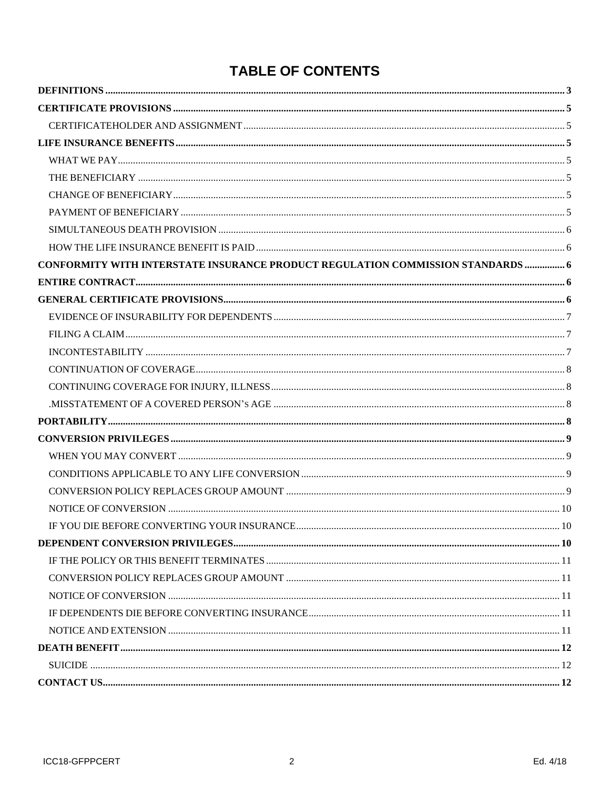## **TABLE OF CONTENTS**

| CONFORMITY WITH INTERSTATE INSURANCE PRODUCT REGULATION COMMISSION STANDARDS  6 |  |
|---------------------------------------------------------------------------------|--|
|                                                                                 |  |
|                                                                                 |  |
|                                                                                 |  |
|                                                                                 |  |
|                                                                                 |  |
|                                                                                 |  |
|                                                                                 |  |
|                                                                                 |  |
|                                                                                 |  |
|                                                                                 |  |
|                                                                                 |  |
|                                                                                 |  |
|                                                                                 |  |
|                                                                                 |  |
|                                                                                 |  |
|                                                                                 |  |
|                                                                                 |  |
|                                                                                 |  |
|                                                                                 |  |
|                                                                                 |  |
|                                                                                 |  |
|                                                                                 |  |
|                                                                                 |  |
|                                                                                 |  |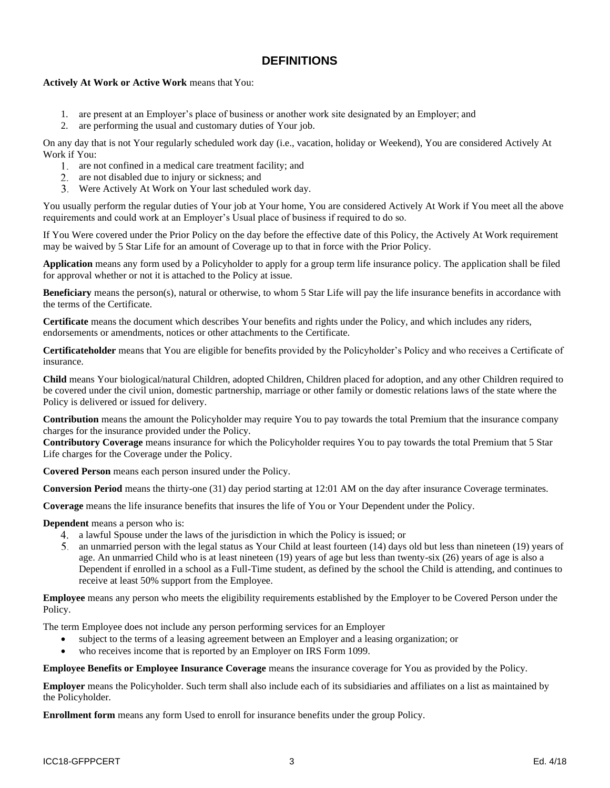### <span id="page-3-0"></span>**DEFINITIONS**

#### **Actively At Work or Active Work** means that You:

- 1. are present at an Employer's place of business or another work site designated by an Employer; and
- 2. are performing the usual and customary duties of Your job.

On any day that is not Your regularly scheduled work day (i.e., vacation, holiday or Weekend), You are considered Actively At Work if You:

- are not confined in a medical care treatment facility; and
- 2. are not disabled due to injury or sickness; and
- Were Actively At Work on Your last scheduled work day.

You usually perform the regular duties of Your job at Your home, You are considered Actively At Work if You meet all the above requirements and could work at an Employer's Usual place of business if required to do so.

If You Were covered under the Prior Policy on the day before the effective date of this Policy, the Actively At Work requirement may be waived by 5 Star Life for an amount of Coverage up to that in force with the Prior Policy.

**Application** means any form used by a Policyholder to apply for a group term life insurance policy. The application shall be filed for approval whether or not it is attached to the Policy at issue.

**Beneficiary** means the person(s), natural or otherwise, to whom 5 Star Life will pay the life insurance benefits in accordance with the terms of the Certificate.

**Certificate** means the document which describes Your benefits and rights under the Policy, and which includes any riders, endorsements or amendments, notices or other attachments to the Certificate.

**Certificateholder** means that You are eligible for benefits provided by the Policyholder's Policy and who receives a Certificate of insurance.

**Child** means Your biological/natural Children, adopted Children, Children placed for adoption, and any other Children required to be covered under the civil union, domestic partnership, marriage or other family or domestic relations laws of the state where the Policy is delivered or issued for delivery.

**Contribution** means the amount the Policyholder may require You to pay towards the total Premium that the insurance company charges for the insurance provided under the Policy.

**Contributory Coverage** means insurance for which the Policyholder requires You to pay towards the total Premium that 5 Star Life charges for the Coverage under the Policy.

**Covered Person** means each person insured under the Policy.

**Conversion Period** means the thirty-one (31) day period starting at 12:01 AM on the day after insurance Coverage terminates.

**Coverage** means the life insurance benefits that insures the life of You or Your Dependent under the Policy.

**Dependent** means a person who is:

- a lawful Spouse under the laws of the jurisdiction in which the Policy is issued; or
- an unmarried person with the legal status as Your Child at least fourteen (14) days old but less than nineteen (19) years of age. An unmarried Child who is at least nineteen (19) years of age but less than twenty-six (26) years of age is also a Dependent if enrolled in a school as a Full-Time student, as defined by the school the Child is attending, and continues to receive at least 50% support from the Employee.

**Employee** means any person who meets the eligibility requirements established by the Employer to be Covered Person under the Policy.

The term Employee does not include any person performing services for an Employer

- subject to the terms of a leasing agreement between an Employer and a leasing organization; or
- who receives income that is reported by an Employer on IRS Form 1099.

**Employee Benefits or Employee Insurance Coverage** means the insurance coverage for You as provided by the Policy.

**Employer** means the Policyholder. Such term shall also include each of its subsidiaries and affiliates on a list as maintained by the Policyholder.

**Enrollment form** means any form Used to enroll for insurance benefits under the group Policy.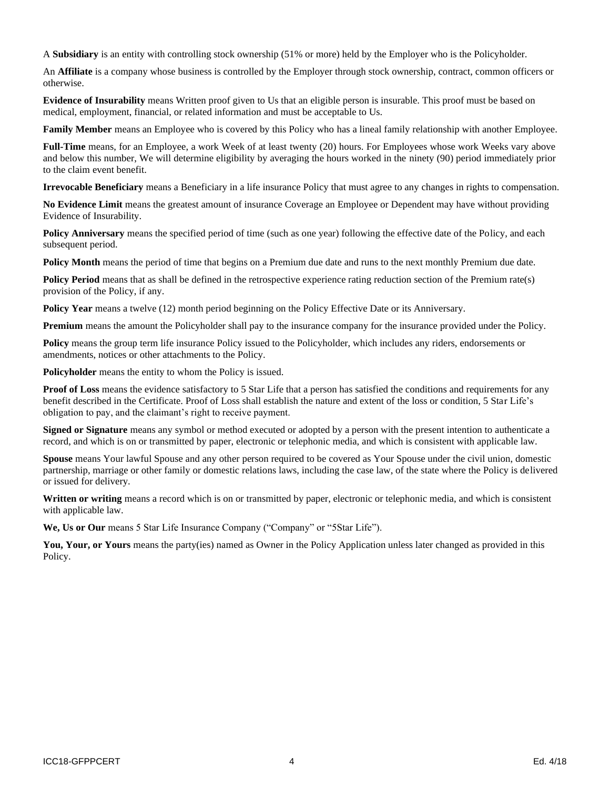A **Subsidiary** is an entity with controlling stock ownership (51% or more) held by the Employer who is the Policyholder.

An **Affiliate** is a company whose business is controlled by the Employer through stock ownership, contract, common officers or otherwise.

**Evidence of Insurability** means Written proof given to Us that an eligible person is insurable. This proof must be based on medical, employment, financial, or related information and must be acceptable to Us.

**Family Member** means an Employee who is covered by this Policy who has a lineal family relationship with another Employee.

**Full-Time** means, for an Employee, a work Week of at least twenty (20) hours. For Employees whose work Weeks vary above and below this number, We will determine eligibility by averaging the hours worked in the ninety (90) period immediately prior to the claim event benefit.

**Irrevocable Beneficiary** means a Beneficiary in a life insurance Policy that must agree to any changes in rights to compensation.

**No Evidence Limit** means the greatest amount of insurance Coverage an Employee or Dependent may have without providing Evidence of Insurability.

**Policy Anniversary** means the specified period of time (such as one year) following the effective date of the Policy, and each subsequent period.

**Policy Month** means the period of time that begins on a Premium due date and runs to the next monthly Premium due date.

**Policy Period** means that as shall be defined in the retrospective experience rating reduction section of the Premium rate(s) provision of the Policy, if any.

**Policy Year** means a twelve (12) month period beginning on the Policy Effective Date or its Anniversary.

**Premium** means the amount the Policyholder shall pay to the insurance company for the insurance provided under the Policy.

**Policy** means the group term life insurance Policy issued to the Policyholder, which includes any riders, endorsements or amendments, notices or other attachments to the Policy.

**Policyholder** means the entity to whom the Policy is issued.

**Proof of Loss** means the evidence satisfactory to 5 Star Life that a person has satisfied the conditions and requirements for any benefit described in the Certificate. Proof of Loss shall establish the nature and extent of the loss or condition, 5 Star Life's obligation to pay, and the claimant's right to receive payment.

**Signed or Signature** means any symbol or method executed or adopted by a person with the present intention to authenticate a record, and which is on or transmitted by paper, electronic or telephonic media, and which is consistent with applicable law.

**Spouse** means Your lawful Spouse and any other person required to be covered as Your Spouse under the civil union, domestic partnership, marriage or other family or domestic relations laws, including the case law, of the state where the Policy is delivered or issued for delivery.

**Written or writing** means a record which is on or transmitted by paper, electronic or telephonic media, and which is consistent with applicable law.

**We, Us or Our** means 5 Star Life Insurance Company ("Company" or "5Star Life").

You, Your, or Yours means the party(ies) named as Owner in the Policy Application unless later changed as provided in this Policy.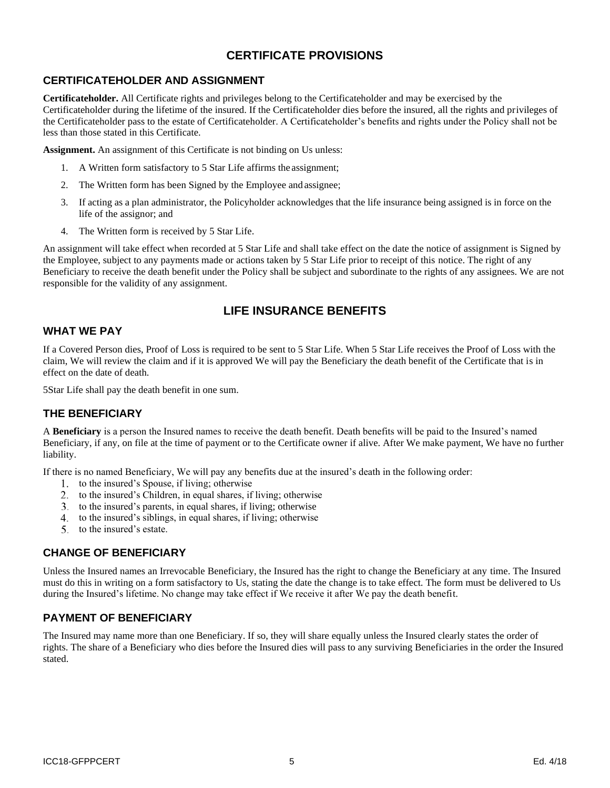### **CERTIFICATE PROVISIONS**

### <span id="page-5-1"></span><span id="page-5-0"></span>**CERTIFICATEHOLDER AND ASSIGNMENT**

**Certificateholder.** All Certificate rights and privileges belong to the Certificateholder and may be exercised by the Certificateholder during the lifetime of the insured. If the Certificateholder dies before the insured, all the rights and privileges of the Certificateholder pass to the estate of Certificateholder. A Certificateholder's benefits and rights under the Policy shall not be less than those stated in this Certificate.

**Assignment.** An assignment of this Certificate is not binding on Us unless:

- 1. A Written form satisfactory to 5 Star Life affirms the assignment;
- 2. The Written form has been Signed by the Employee andassignee;
- 3. If acting as a plan administrator, the Policyholder acknowledges that the life insurance being assigned is in force on the life of the assignor; and
- 4. The Written form is received by 5 Star Life.

An assignment will take effect when recorded at 5 Star Life and shall take effect on the date the notice of assignment is Signed by the Employee, subject to any payments made or actions taken by 5 Star Life prior to receipt of this notice. The right of any Beneficiary to receive the death benefit under the Policy shall be subject and subordinate to the rights of any assignees. We are not responsible for the validity of any assignment.

### **LIFE INSURANCE BENEFITS**

#### <span id="page-5-3"></span><span id="page-5-2"></span>**WHAT WE PAY**

If a Covered Person dies, Proof of Loss is required to be sent to 5 Star Life. When 5 Star Life receives the Proof of Loss with the claim, We will review the claim and if it is approved We will pay the Beneficiary the death benefit of the Certificate that is in effect on the date of death.

5Star Life shall pay the death benefit in one sum.

### <span id="page-5-4"></span>**THE BENEFICIARY**

A **Beneficiary** is a person the Insured names to receive the death benefit. Death benefits will be paid to the Insured's named Beneficiary, if any, on file at the time of payment or to the Certificate owner if alive. After We make payment, We have no further liability.

If there is no named Beneficiary, We will pay any benefits due at the insured's death in the following order:

- 1. to the insured's Spouse, if living; otherwise
- to the insured's Children, in equal shares, if living; otherwise
- to the insured's parents, in equal shares, if living; otherwise
- to the insured's siblings, in equal shares, if living; otherwise
- 5. to the insured's estate.

### <span id="page-5-5"></span>**CHANGE OF BENEFICIARY**

Unless the Insured names an Irrevocable Beneficiary, the Insured has the right to change the Beneficiary at any time. The Insured must do this in writing on a form satisfactory to Us, stating the date the change is to take effect. The form must be delivered to Us during the Insured's lifetime. No change may take effect if We receive it after We pay the death benefit.

### <span id="page-5-6"></span>**PAYMENT OF BENEFICIARY**

The Insured may name more than one Beneficiary. If so, they will share equally unless the Insured clearly states the order of rights. The share of a Beneficiary who dies before the Insured dies will pass to any surviving Beneficiaries in the order the Insured stated.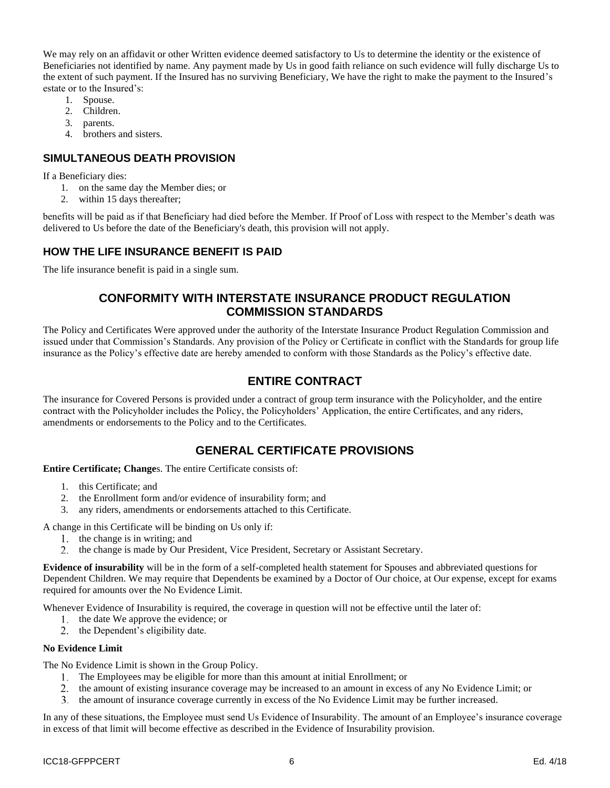We may rely on an affidavit or other Written evidence deemed satisfactory to Us to determine the identity or the existence of Beneficiaries not identified by name. Any payment made by Us in good faith reliance on such evidence will fully discharge Us to the extent of such payment. If the Insured has no surviving Beneficiary, We have the right to make the payment to the Insured's estate or to the Insured's:

- 1. Spouse.
- 2. Children.
- 3. parents.
- 4. brothers and sisters.

### <span id="page-6-0"></span>**SIMULTANEOUS DEATH PROVISION**

If a Beneficiary dies:

- 1. on the same day the Member dies; or
- 2. within 15 days thereafter;

benefits will be paid as if that Beneficiary had died before the Member. If Proof of Loss with respect to the Member's death was delivered to Us before the date of the Beneficiary's death, this provision will not apply.

#### <span id="page-6-1"></span>**HOW THE LIFE INSURANCE BENEFIT IS PAID**

<span id="page-6-2"></span>The life insurance benefit is paid in a single sum.

### **CONFORMITY WITH INTERSTATE INSURANCE PRODUCT REGULATION COMMISSION STANDARDS**

The Policy and Certificates Were approved under the authority of the Interstate Insurance Product Regulation Commission and issued under that Commission's Standards. Any provision of the Policy or Certificate in conflict with the Standards for group life insurance as the Policy's effective date are hereby amended to conform with those Standards as the Policy's effective date.

### **ENTIRE CONTRACT**

<span id="page-6-3"></span>The insurance for Covered Persons is provided under a contract of group term insurance with the Policyholder, and the entire contract with the Policyholder includes the Policy, the Policyholders' Application, the entire Certificates, and any riders, amendments or endorsements to the Policy and to the Certificates.

### **GENERAL CERTIFICATE PROVISIONS**

<span id="page-6-4"></span>**Entire Certificate; Change**s. The entire Certificate consists of:

- 1. this Certificate; and
- 2. the Enrollment form and/or evidence of insurability form; and
- 3. any riders, amendments or endorsements attached to this Certificate.

A change in this Certificate will be binding on Us only if:

- 1. the change is in writing; and
- the change is made by Our President, Vice President, Secretary or Assistant Secretary.

**Evidence of insurability** will be in the form of a self-completed health statement for Spouses and abbreviated questions for Dependent Children. We may require that Dependents be examined by a Doctor of Our choice, at Our expense, except for exams required for amounts over the No Evidence Limit.

Whenever Evidence of Insurability is required, the coverage in question will not be effective until the later of:

- 1. the date We approve the evidence; or
- 2. the Dependent's eligibility date.

#### **No Evidence Limit**

The No Evidence Limit is shown in the Group Policy.

- The Employees may be eligible for more than this amount at initial Enrollment; or
- 2. the amount of existing insurance coverage may be increased to an amount in excess of any No Evidence Limit; or
- the amount of insurance coverage currently in excess of the No Evidence Limit may be further increased.

In any of these situations, the Employee must send Us Evidence of Insurability. The amount of an Employee's insurance coverage in excess of that limit will become effective as described in the Evidence of Insurability provision.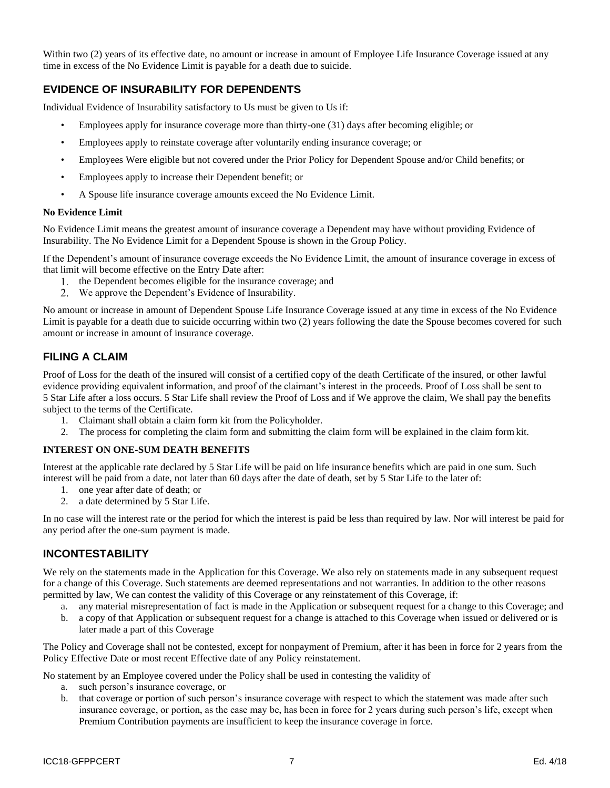Within two (2) years of its effective date, no amount or increase in amount of Employee Life Insurance Coverage issued at any time in excess of the No Evidence Limit is payable for a death due to suicide.

### <span id="page-7-0"></span>**EVIDENCE OF INSURABILITY FOR DEPENDENTS**

Individual Evidence of Insurability satisfactory to Us must be given to Us if:

- Employees apply for insurance coverage more than thirty-one (31) days after becoming eligible; or
- Employees apply to reinstate coverage after voluntarily ending insurance coverage; or
- Employees Were eligible but not covered under the Prior Policy for Dependent Spouse and/or Child benefits; or
- Employees apply to increase their Dependent benefit; or
- A Spouse life insurance coverage amounts exceed the No Evidence Limit.

#### **No Evidence Limit**

No Evidence Limit means the greatest amount of insurance coverage a Dependent may have without providing Evidence of Insurability. The No Evidence Limit for a Dependent Spouse is shown in the Group Policy.

If the Dependent's amount of insurance coverage exceeds the No Evidence Limit, the amount of insurance coverage in excess of that limit will become effective on the Entry Date after:

- 1. the Dependent becomes eligible for the insurance coverage; and
- We approve the Dependent's Evidence of Insurability.

No amount or increase in amount of Dependent Spouse Life Insurance Coverage issued at any time in excess of the No Evidence Limit is payable for a death due to suicide occurring within two (2) years following the date the Spouse becomes covered for such amount or increase in amount of insurance coverage.

### <span id="page-7-1"></span>**FILING A CLAIM**

Proof of Loss for the death of the insured will consist of a certified copy of the death Certificate of the insured, or other lawful evidence providing equivalent information, and proof of the claimant's interest in the proceeds. Proof of Loss shall be sent to 5 Star Life after a loss occurs. 5 Star Life shall review the Proof of Loss and if We approve the claim, We shall pay the benefits subject to the terms of the Certificate.

- 1. Claimant shall obtain a claim form kit from the Policyholder.
- 2. The process for completing the claim form and submitting the claim form will be explained in the claim form kit.

#### **INTEREST ON ONE-SUM DEATH BENEFITS**

Interest at the applicable rate declared by 5 Star Life will be paid on life insurance benefits which are paid in one sum. Such interest will be paid from a date, not later than 60 days after the date of death, set by 5 Star Life to the later of:

- 1. one year after date of death; or
- 2. a date determined by 5 Star Life.

In no case will the interest rate or the period for which the interest is paid be less than required by law. Nor will interest be paid for any period after the one-sum payment is made.

#### <span id="page-7-2"></span>**INCONTESTABILITY**

We rely on the statements made in the Application for this Coverage. We also rely on statements made in any subsequent request for a change of this Coverage. Such statements are deemed representations and not warranties. In addition to the other reasons permitted by law, We can contest the validity of this Coverage or any reinstatement of this Coverage, if:

- a. any material misrepresentation of fact is made in the Application or subsequent request for a change to this Coverage; and
- b. a copy of that Application or subsequent request for a change is attached to this Coverage when issued or delivered or is later made a part of this Coverage

The Policy and Coverage shall not be contested, except for nonpayment of Premium, after it has been in force for 2 years from the Policy Effective Date or most recent Effective date of any Policy reinstatement.

No statement by an Employee covered under the Policy shall be used in contesting the validity of

- a. such person's insurance coverage, or
- b. that coverage or portion of such person's insurance coverage with respect to which the statement was made after such insurance coverage, or portion, as the case may be, has been in force for 2 years during such person's life, except when Premium Contribution payments are insufficient to keep the insurance coverage in force.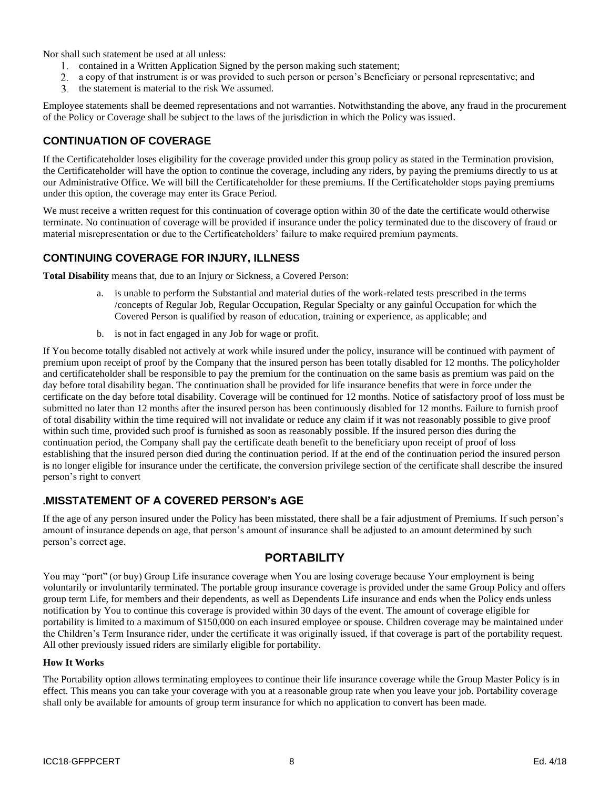Nor shall such statement be used at all unless:

- contained in a Written Application Signed by the person making such statement;
- a copy of that instrument is or was provided to such person or person's Beneficiary or personal representative; and
- 3. the statement is material to the risk We assumed.

Employee statements shall be deemed representations and not warranties. Notwithstanding the above, any fraud in the procurement of the Policy or Coverage shall be subject to the laws of the jurisdiction in which the Policy was issued.

### <span id="page-8-0"></span>**CONTINUATION OF COVERAGE**

If the Certificateholder loses eligibility for the coverage provided under this group policy as stated in the Termination provision, the Certificateholder will have the option to continue the coverage, including any riders, by paying the premiums directly to us at our Administrative Office. We will bill the Certificateholder for these premiums. If the Certificateholder stops paying premiums under this option, the coverage may enter its Grace Period.

We must receive a written request for this continuation of coverage option within 30 of the date the certificate would otherwise terminate. No continuation of coverage will be provided if insurance under the policy terminated due to the discovery of fraud or material misrepresentation or due to the Certificateholders' failure to make required premium payments.

### <span id="page-8-1"></span>**CONTINUING COVERAGE FOR INJURY, ILLNESS**

**Total Disability** means that, due to an Injury or Sickness, a Covered Person:

- a. is unable to perform the Substantial and material duties of the work-related tests prescribed in the terms /concepts of Regular Job, Regular Occupation, Regular Specialty or any gainful Occupation for which the Covered Person is qualified by reason of education, training or experience, as applicable; and
- b. is not in fact engaged in any Job for wage or profit.

If You become totally disabled not actively at work while insured under the policy, insurance will be continued with payment of premium upon receipt of proof by the Company that the insured person has been totally disabled for 12 months. The policyholder and certificateholder shall be responsible to pay the premium for the continuation on the same basis as premium was paid on the day before total disability began. The continuation shall be provided for life insurance benefits that were in force under the certificate on the day before total disability. Coverage will be continued for 12 months. Notice of satisfactory proof of loss must be submitted no later than 12 months after the insured person has been continuously disabled for 12 months. Failure to furnish proof of total disability within the time required will not invalidate or reduce any claim if it was not reasonably possible to give proof within such time, provided such proof is furnished as soon as reasonably possible. If the insured person dies during the continuation period, the Company shall pay the certificate death benefit to the beneficiary upon receipt of proof of loss establishing that the insured person died during the continuation period. If at the end of the continuation period the insured person is no longer eligible for insurance under the certificate, the conversion privilege section of the certificate shall describe the insured person's right to convert

### <span id="page-8-2"></span>**.MISSTATEMENT OF A COVERED PERSON's AGE**

If the age of any person insured under the Policy has been misstated, there shall be a fair adjustment of Premiums. If such person's amount of insurance depends on age, that person's amount of insurance shall be adjusted to an amount determined by such person's correct age.

### **PORTABILITY**

<span id="page-8-3"></span>You may "port" (or buy) Group Life insurance coverage when You are losing coverage because Your employment is being voluntarily or involuntarily terminated. The portable group insurance coverage is provided under the same Group Policy and offers group term Life, for members and their dependents, as well as Dependents Life insurance and ends when the Policy ends unless notification by You to continue this coverage is provided within 30 days of the event. The amount of coverage eligible for portability is limited to a maximum of \$150,000 on each insured employee or spouse. Children coverage may be maintained under the Children's Term Insurance rider, under the certificate it was originally issued, if that coverage is part of the portability request. All other previously issued riders are similarly eligible for portability.

#### **How It Works**

The Portability option allows terminating employees to continue their life insurance coverage while the Group Master Policy is in effect. This means you can take your coverage with you at a reasonable group rate when you leave your job. Portability coverage shall only be available for amounts of group term insurance for which no application to convert has been made.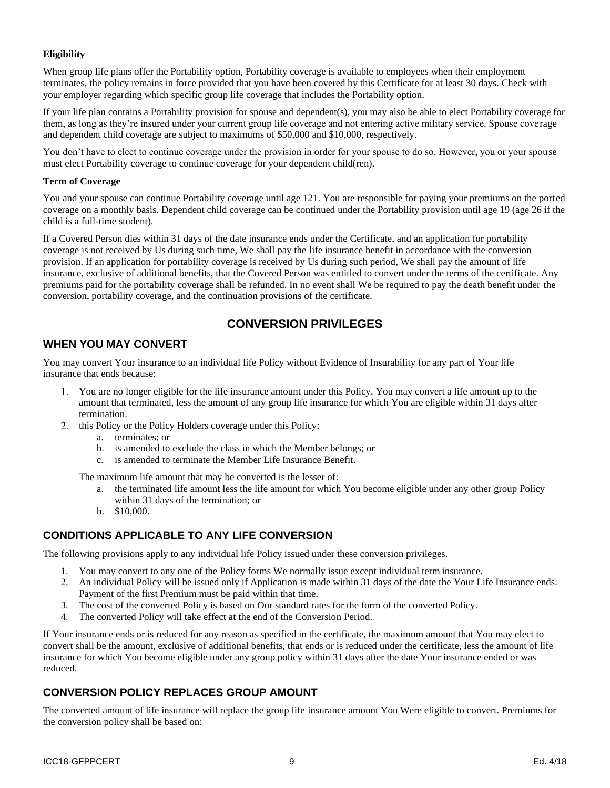#### **Eligibility**

When group life plans offer the Portability option, Portability coverage is available to employees when their employment terminates, the policy remains in force provided that you have been covered by this Certificate for at least 30 days. Check with your employer regarding which specific group life coverage that includes the Portability option.

If your life plan contains a Portability provision for spouse and dependent(s), you may also be able to elect Portability coverage for them, as long as they're insured under your current group life coverage and not entering active military service. Spouse coverage and dependent child coverage are subject to maximums of \$50,000 and \$10,000, respectively.

You don't have to elect to continue coverage under the provision in order for your spouse to do so. However, you or your spouse must elect Portability coverage to continue coverage for your dependent child(ren).

#### **Term of Coverage**

You and your spouse can continue Portability coverage until age 121. You are responsible for paying your premiums on the ported coverage on a monthly basis. Dependent child coverage can be continued under the Portability provision until age 19 (age 26 if the child is a full-time student).

If a Covered Person dies within 31 days of the date insurance ends under the Certificate, and an application for portability coverage is not received by Us during such time, We shall pay the life insurance benefit in accordance with the conversion provision. If an application for portability coverage is received by Us during such period, We shall pay the amount of life insurance, exclusive of additional benefits, that the Covered Person was entitled to convert under the terms of the certificate. Any premiums paid for the portability coverage shall be refunded. In no event shall We be required to pay the death benefit under the conversion, portability coverage, and the continuation provisions of the certificate.

### **CONVERSION PRIVILEGES**

### <span id="page-9-1"></span><span id="page-9-0"></span>**WHEN YOU MAY CONVERT**

You may convert Your insurance to an individual life Policy without Evidence of Insurability for any part of Your life insurance that ends because:

- You are no longer eligible for the life insurance amount under this Policy. You may convert a life amount up to the amount that terminated, less the amount of any group life insurance for which You are eligible within 31 days after termination.
- 2. this Policy or the Policy Holders coverage under this Policy:
	- a. terminates; or
	- b. is amended to exclude the class in which the Member belongs; or
	- c. is amended to terminate the Member Life Insurance Benefit.

The maximum life amount that may be converted is the lesser of:

- a. the terminated life amount less the life amount for which You become eligible under any other group Policy within 31 days of the termination; or
- b. \$10,000.

### <span id="page-9-2"></span>**CONDITIONS APPLICABLE TO ANY LIFE CONVERSION**

The following provisions apply to any individual life Policy issued under these conversion privileges.

- 1. You may convert to any one of the Policy forms We normally issue except individual term insurance.
- 2. An individual Policy will be issued only if Application is made within 31 days of the date the Your Life Insurance ends. Payment of the first Premium must be paid within that time.
- 3. The cost of the converted Policy is based on Our standard rates for the form of the converted Policy.
- 4. The converted Policy will take effect at the end of the Conversion Period.

If Your insurance ends or is reduced for any reason as specified in the certificate, the maximum amount that You may elect to convert shall be the amount, exclusive of additional benefits, that ends or is reduced under the certificate, less the amount of life insurance for which You become eligible under any group policy within 31 days after the date Your insurance ended or was reduced.

### <span id="page-9-3"></span>**CONVERSION POLICY REPLACES GROUP AMOUNT**

The converted amount of life insurance will replace the group life insurance amount You Were eligible to convert. Premiums for the conversion policy shall be based on: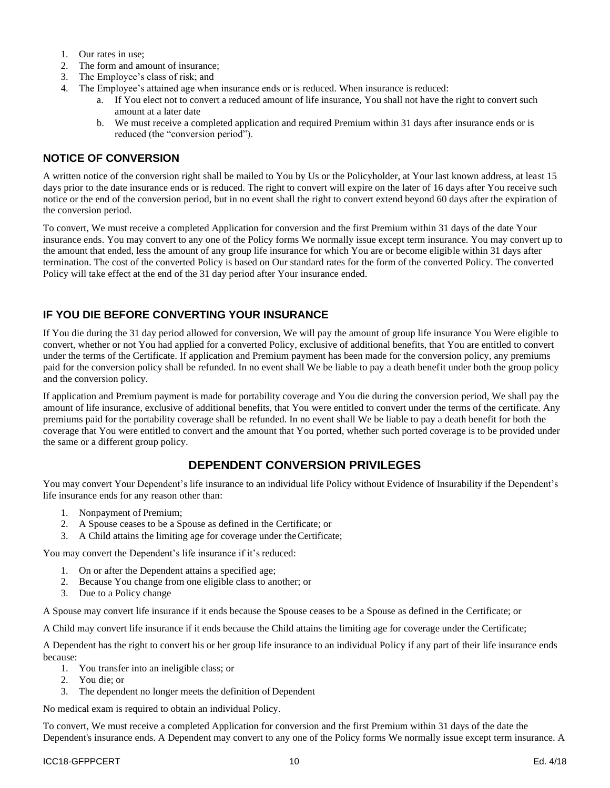- 1. Our rates in use;
- 2. The form and amount of insurance;
- 3. The Employee's class of risk; and
- 4. The Employee's attained age when insurance ends or is reduced. When insurance is reduced:
	- a. If You elect not to convert a reduced amount of life insurance, You shall not have the right to convert such amount at a later date
	- b. We must receive a completed application and required Premium within 31 days after insurance ends or is reduced (the "conversion period").

#### <span id="page-10-0"></span>**NOTICE OF CONVERSION**

A written notice of the conversion right shall be mailed to You by Us or the Policyholder, at Your last known address, at least 15 days prior to the date insurance ends or is reduced. The right to convert will expire on the later of 16 days after You receive such notice or the end of the conversion period, but in no event shall the right to convert extend beyond 60 days after the expiration of the conversion period.

To convert, We must receive a completed Application for conversion and the first Premium within 31 days of the date Your insurance ends. You may convert to any one of the Policy forms We normally issue except term insurance. You may convert up to the amount that ended, less the amount of any group life insurance for which You are or become eligible within 31 days after termination. The cost of the converted Policy is based on Our standard rates for the form of the converted Policy. The converted Policy will take effect at the end of the 31 day period after Your insurance ended.

### <span id="page-10-1"></span>**IF YOU DIE BEFORE CONVERTING YOUR INSURANCE**

If You die during the 31 day period allowed for conversion, We will pay the amount of group life insurance You Were eligible to convert, whether or not You had applied for a converted Policy, exclusive of additional benefits, that You are entitled to convert under the terms of the Certificate. If application and Premium payment has been made for the conversion policy, any premiums paid for the conversion policy shall be refunded. In no event shall We be liable to pay a death benefit under both the group policy and the conversion policy.

If application and Premium payment is made for portability coverage and You die during the conversion period, We shall pay the amount of life insurance, exclusive of additional benefits, that You were entitled to convert under the terms of the certificate. Any premiums paid for the portability coverage shall be refunded. In no event shall We be liable to pay a death benefit for both the coverage that You were entitled to convert and the amount that You ported, whether such ported coverage is to be provided under the same or a different group policy.

### **DEPENDENT CONVERSION PRIVILEGES**

<span id="page-10-2"></span>You may convert Your Dependent's life insurance to an individual life Policy without Evidence of Insurability if the Dependent's life insurance ends for any reason other than:

- 1. Nonpayment of Premium;
- 2. A Spouse ceases to be a Spouse as defined in the Certificate; or
- 3. A Child attains the limiting age for coverage under theCertificate;

You may convert the Dependent's life insurance if it's reduced:

- 1. On or after the Dependent attains a specified age;
- 2. Because You change from one eligible class to another; or
- 3. Due to a Policy change

A Spouse may convert life insurance if it ends because the Spouse ceases to be a Spouse as defined in the Certificate; or

A Child may convert life insurance if it ends because the Child attains the limiting age for coverage under the Certificate;

A Dependent has the right to convert his or her group life insurance to an individual Policy if any part of their life insurance ends because:

- 1. You transfer into an ineligible class; or
- 2. You die; or
- 3. The dependent no longer meets the definition of Dependent

No medical exam is required to obtain an individual Policy.

To convert, We must receive a completed Application for conversion and the first Premium within 31 days of the date the Dependent's insurance ends. A Dependent may convert to any one of the Policy forms We normally issue except term insurance. A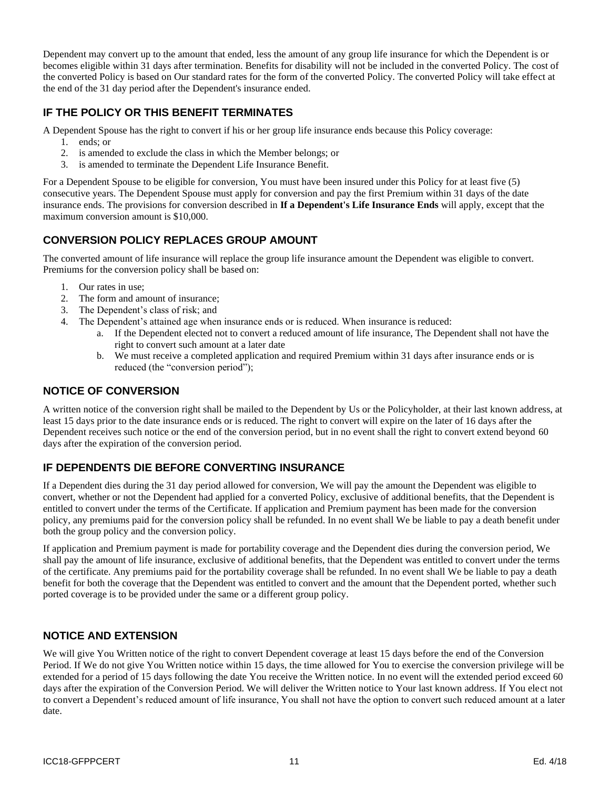Dependent may convert up to the amount that ended, less the amount of any group life insurance for which the Dependent is or becomes eligible within 31 days after termination. Benefits for disability will not be included in the converted Policy. The cost of the converted Policy is based on Our standard rates for the form of the converted Policy. The converted Policy will take effect at the end of the 31 day period after the Dependent's insurance ended.

### <span id="page-11-0"></span>**IF THE POLICY OR THIS BENEFIT TERMINATES**

A Dependent Spouse has the right to convert if his or her group life insurance ends because this Policy coverage:

- 1. ends; or
- 2. is amended to exclude the class in which the Member belongs; or
- 3. is amended to terminate the Dependent Life Insurance Benefit.

For a Dependent Spouse to be eligible for conversion, You must have been insured under this Policy for at least five (5) consecutive years. The Dependent Spouse must apply for conversion and pay the first Premium within 31 days of the date insurance ends. The provisions for conversion described in **If a Dependent's Life Insurance Ends** will apply, except that the maximum conversion amount is \$10,000.

### <span id="page-11-1"></span>**CONVERSION POLICY REPLACES GROUP AMOUNT**

The converted amount of life insurance will replace the group life insurance amount the Dependent was eligible to convert. Premiums for the conversion policy shall be based on:

- 1. Our rates in use;
- 2. The form and amount of insurance;
- 3. The Dependent's class of risk; and
- 4. The Dependent's attained age when insurance ends or is reduced. When insurance is reduced:
	- a. If the Dependent elected not to convert a reduced amount of life insurance, The Dependent shall not have the right to convert such amount at a later date
	- b. We must receive a completed application and required Premium within 31 days after insurance ends or is reduced (the "conversion period");

#### <span id="page-11-2"></span>**NOTICE OF CONVERSION**

A written notice of the conversion right shall be mailed to the Dependent by Us or the Policyholder, at their last known address, at least 15 days prior to the date insurance ends or is reduced. The right to convert will expire on the later of 16 days after the Dependent receives such notice or the end of the conversion period, but in no event shall the right to convert extend beyond 60 days after the expiration of the conversion period.

### <span id="page-11-3"></span>**IF DEPENDENTS DIE BEFORE CONVERTING INSURANCE**

If a Dependent dies during the 31 day period allowed for conversion, We will pay the amount the Dependent was eligible to convert, whether or not the Dependent had applied for a converted Policy, exclusive of additional benefits, that the Dependent is entitled to convert under the terms of the Certificate. If application and Premium payment has been made for the conversion policy, any premiums paid for the conversion policy shall be refunded. In no event shall We be liable to pay a death benefit under both the group policy and the conversion policy.

If application and Premium payment is made for portability coverage and the Dependent dies during the conversion period, We shall pay the amount of life insurance, exclusive of additional benefits, that the Dependent was entitled to convert under the terms of the certificate. Any premiums paid for the portability coverage shall be refunded. In no event shall We be liable to pay a death benefit for both the coverage that the Dependent was entitled to convert and the amount that the Dependent ported, whether such ported coverage is to be provided under the same or a different group policy.

### <span id="page-11-4"></span>**NOTICE AND EXTENSION**

We will give You Written notice of the right to convert Dependent coverage at least 15 days before the end of the Conversion Period. If We do not give You Written notice within 15 days, the time allowed for You to exercise the conversion privilege will be extended for a period of 15 days following the date You receive the Written notice. In no event will the extended period exceed 60 days after the expiration of the Conversion Period. We will deliver the Written notice to Your last known address. If You elect not to convert a Dependent's reduced amount of life insurance, You shall not have the option to convert such reduced amount at a later date.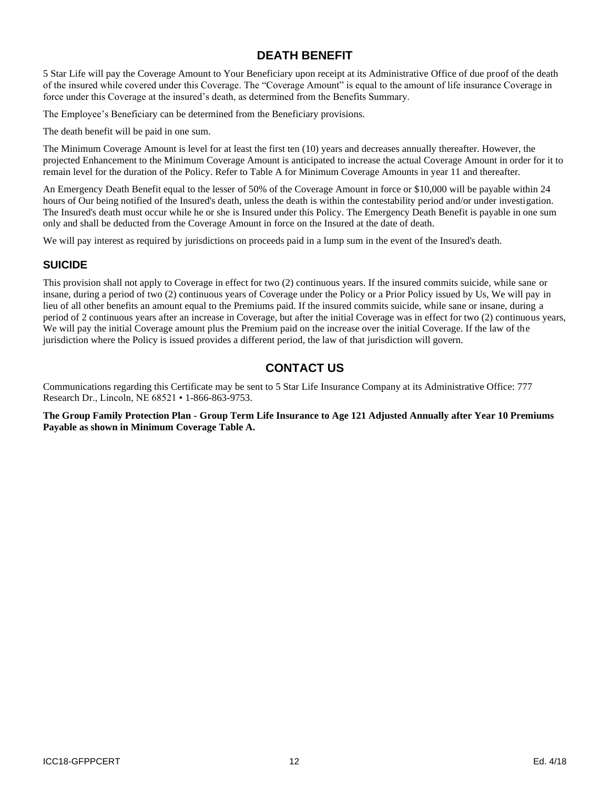### **DEATH BENEFIT**

<span id="page-12-0"></span>5 Star Life will pay the Coverage Amount to Your Beneficiary upon receipt at its Administrative Office of due proof of the death of the insured while covered under this Coverage. The "Coverage Amount" is equal to the amount of life insurance Coverage in force under this Coverage at the insured's death, as determined from the Benefits Summary.

The Employee's Beneficiary can be determined from the Beneficiary provisions.

The death benefit will be paid in one sum.

The Minimum Coverage Amount is level for at least the first ten (10) years and decreases annually thereafter. However, the projected Enhancement to the Minimum Coverage Amount is anticipated to increase the actual Coverage Amount in order for it to remain level for the duration of the Policy. Refer to Table A for Minimum Coverage Amounts in year 11 and thereafter.

An Emergency Death Benefit equal to the lesser of 50% of the Coverage Amount in force or \$10,000 will be payable within 24 hours of Our being notified of the Insured's death, unless the death is within the contestability period and/or under investigation. The Insured's death must occur while he or she is Insured under this Policy. The Emergency Death Benefit is payable in one sum only and shall be deducted from the Coverage Amount in force on the Insured at the date of death.

We will pay interest as required by jurisdictions on proceeds paid in a lump sum in the event of the Insured's death.

#### <span id="page-12-1"></span>**SUICIDE**

This provision shall not apply to Coverage in effect for two (2) continuous years. If the insured commits suicide, while sane or insane, during a period of two (2) continuous years of Coverage under the Policy or a Prior Policy issued by Us, We will pay in lieu of all other benefits an amount equal to the Premiums paid. If the insured commits suicide, while sane or insane, during a period of 2 continuous years after an increase in Coverage, but after the initial Coverage was in effect for two (2) continuous years, We will pay the initial Coverage amount plus the Premium paid on the increase over the initial Coverage. If the law of the jurisdiction where the Policy is issued provides a different period, the law of that jurisdiction will govern.

### **CONTACT US**

<span id="page-12-2"></span>Communications regarding this Certificate may be sent to 5 Star Life Insurance Company at its Administrative Office: 777 Research Dr., Lincoln, NE 68521 • 1-866-863-9753.

**The Group Family Protection Plan - Group Term Life Insurance to Age 121 Adjusted Annually after Year 10 Premiums Payable as shown in Minimum Coverage Table A.**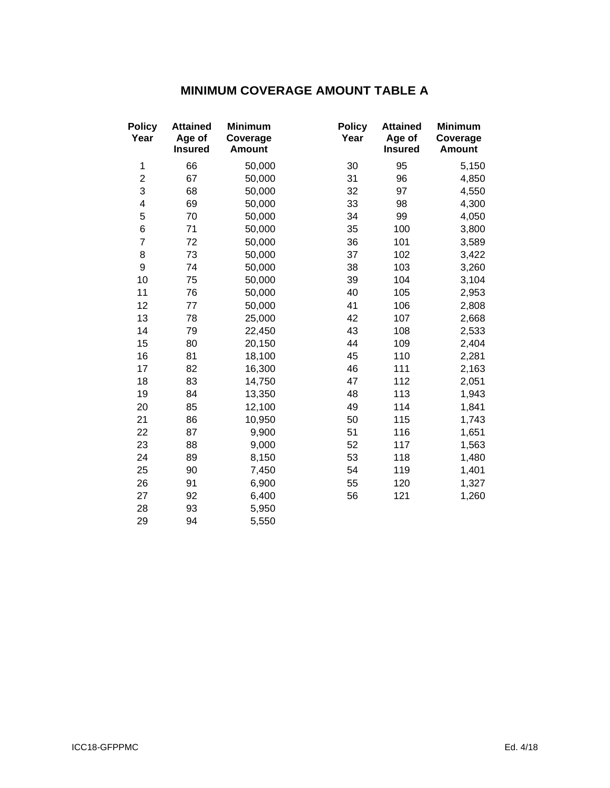## **MINIMUM COVERAGE AMOUNT TABLE A**

| <b>Policy</b><br>Year | <b>Attained</b><br>Age of<br><b>Insured</b> | <b>Minimum</b><br>Coverage<br><b>Amount</b> | <b>Policy</b><br>Year | <b>Attained</b><br>Age of<br><b>Insured</b> | <b>Minimum</b><br>Coverage<br><b>Amount</b> |
|-----------------------|---------------------------------------------|---------------------------------------------|-----------------------|---------------------------------------------|---------------------------------------------|
| 1                     | 66                                          | 50,000                                      | 30                    | 95                                          | 5,150                                       |
| $\overline{c}$        | 67                                          | 50,000                                      | 31                    | 96                                          | 4,850                                       |
| 3                     | 68                                          | 50,000                                      | 32                    | 97                                          | 4,550                                       |
| 4                     | 69                                          | 50,000                                      | 33                    | 98                                          | 4,300                                       |
| 5                     | 70                                          | 50,000                                      | 34                    | 99                                          | 4,050                                       |
| 6                     | 71                                          | 50,000                                      | 35                    | 100                                         | 3,800                                       |
| $\overline{7}$        | 72                                          | 50,000                                      | 36                    | 101                                         | 3,589                                       |
| 8                     | 73                                          | 50,000                                      | 37                    | 102                                         | 3,422                                       |
| 9                     | 74                                          | 50,000                                      | 38                    | 103                                         | 3,260                                       |
| 10                    | 75                                          | 50,000                                      | 39                    | 104                                         | 3,104                                       |
| 11                    | 76                                          | 50,000                                      | 40                    | 105                                         | 2,953                                       |
| 12                    | 77                                          | 50,000                                      | 41                    | 106                                         | 2,808                                       |
| 13                    | 78                                          | 25,000                                      | 42                    | 107                                         | 2,668                                       |
| 14                    | 79                                          | 22,450                                      | 43                    | 108                                         | 2,533                                       |
| 15                    | 80                                          | 20,150                                      | 44                    | 109                                         | 2,404                                       |
| 16                    | 81                                          | 18,100                                      | 45                    | 110                                         | 2,281                                       |
| 17                    | 82                                          | 16,300                                      | 46                    | 111                                         | 2,163                                       |
| 18                    | 83                                          | 14,750                                      | 47                    | 112                                         | 2,051                                       |
| 19                    | 84                                          | 13,350                                      | 48                    | 113                                         | 1,943                                       |
| 20                    | 85                                          | 12,100                                      | 49                    | 114                                         | 1,841                                       |
| 21                    | 86                                          | 10,950                                      | 50                    | 115                                         | 1,743                                       |
| 22                    | 87                                          | 9,900                                       | 51                    | 116                                         | 1,651                                       |
| 23                    | 88                                          | 9,000                                       | 52                    | 117                                         | 1,563                                       |
| 24                    | 89                                          | 8,150                                       | 53                    | 118                                         | 1,480                                       |
| 25                    | 90                                          | 7,450                                       | 54                    | 119                                         | 1,401                                       |
| 26                    | 91                                          | 6,900                                       | 55                    | 120                                         | 1,327                                       |
| 27                    | 92                                          | 6,400                                       | 56                    | 121                                         | 1,260                                       |
| 28                    | 93                                          | 5,950                                       |                       |                                             |                                             |
| 29                    | 94                                          | 5,550                                       |                       |                                             |                                             |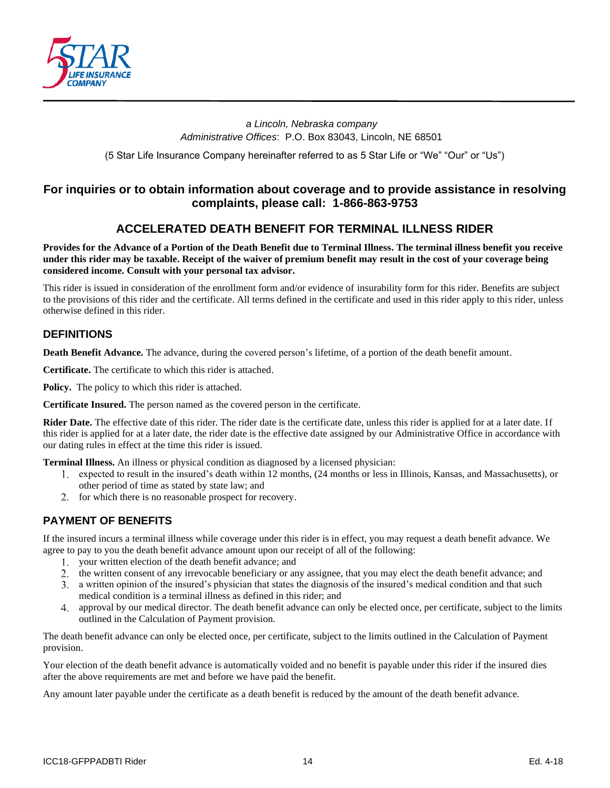

### *a Lincoln, Nebraska company Administrative Offices*: P.O. Box 83043, Lincoln, NE 68501

(5 Star Life Insurance Company hereinafter referred to as 5 Star Life or "We" "Our" or "Us")

### **For inquiries or to obtain information about coverage and to provide assistance in resolving complaints, please call: 1-866-863-9753**

### **ACCELERATED DEATH BENEFIT FOR TERMINAL ILLNESS RIDER**

**Provides for the Advance of a Portion of the Death Benefit due to Terminal Illness. The terminal illness benefit you receive under this rider may be taxable. Receipt of the waiver of premium benefit may result in the cost of your coverage being considered income. Consult with your personal tax advisor.**

This rider is issued in consideration of the enrollment form and/or evidence of insurability form for this rider. Benefits are subject to the provisions of this rider and the certificate. All terms defined in the certificate and used in this rider apply to this rider, unless otherwise defined in this rider.

### **DEFINITIONS**

**Death Benefit Advance.** The advance, during the covered person's lifetime, of a portion of the death benefit amount.

**Certificate.** The certificate to which this rider is attached.

**Policy.** The policy to which this rider is attached.

**Certificate Insured.** The person named as the covered person in the certificate.

**Rider Date.** The effective date of this rider. The rider date is the certificate date, unless this rider is applied for at a later date. If this rider is applied for at a later date, the rider date is the effective date assigned by our Administrative Office in accordance with our dating rules in effect at the time this rider is issued.

**Terminal Illness.** An illness or physical condition as diagnosed by a licensed physician:

- expected to result in the insured's death within 12 months, (24 months or less in Illinois, Kansas, and Massachusetts), or other period of time as stated by state law; and
- 2. for which there is no reasonable prospect for recovery.

### **PAYMENT OF BENEFITS**

If the insured incurs a terminal illness while coverage under this rider is in effect, you may request a death benefit advance. We agree to pay to you the death benefit advance amount upon our receipt of all of the following:

- your written election of the death benefit advance; and
- the written consent of any irrevocable beneficiary or any assignee, that you may elect the death benefit advance; and
- a written opinion of the insured's physician that states the diagnosis of the insured's medical condition and that such medical condition is a terminal illness as defined in this rider; and
- 4. approval by our medical director. The death benefit advance can only be elected once, per certificate, subject to the limits outlined in the Calculation of Payment provision.

The death benefit advance can only be elected once, per certificate, subject to the limits outlined in the Calculation of Payment provision.

Your election of the death benefit advance is automatically voided and no benefit is payable under this rider if the insured dies after the above requirements are met and before we have paid the benefit.

Any amount later payable under the certificate as a death benefit is reduced by the amount of the death benefit advance.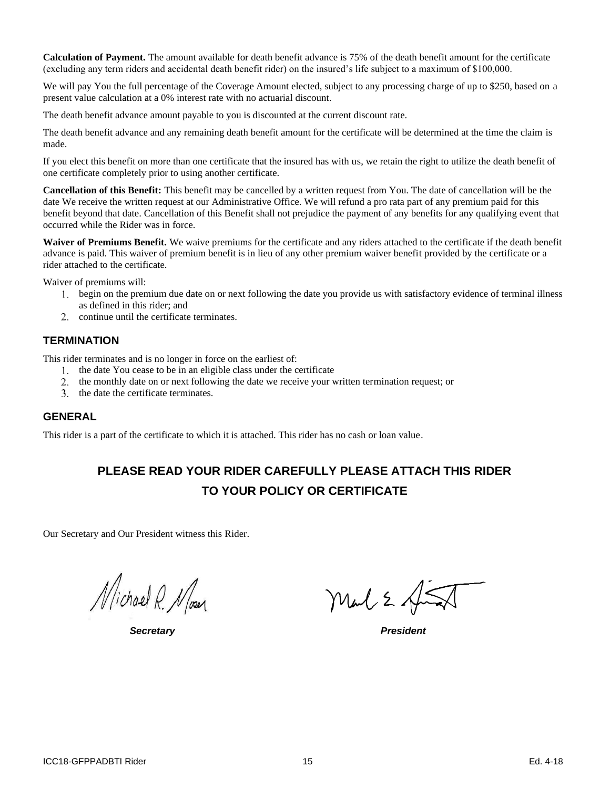**Calculation of Payment.** The amount available for death benefit advance is 75% of the death benefit amount for the certificate (excluding any term riders and accidental death benefit rider) on the insured's life subject to a maximum of \$100,000.

We will pay You the full percentage of the Coverage Amount elected, subject to any processing charge of up to \$250, based on a present value calculation at a 0% interest rate with no actuarial discount.

The death benefit advance amount payable to you is discounted at the current discount rate.

The death benefit advance and any remaining death benefit amount for the certificate will be determined at the time the claim is made.

If you elect this benefit on more than one certificate that the insured has with us, we retain the right to utilize the death benefit of one certificate completely prior to using another certificate.

**Cancellation of this Benefit:** This benefit may be cancelled by a written request from You. The date of cancellation will be the date We receive the written request at our Administrative Office. We will refund a pro rata part of any premium paid for this benefit beyond that date. Cancellation of this Benefit shall not prejudice the payment of any benefits for any qualifying event that occurred while the Rider was in force.

**Waiver of Premiums Benefit.** We waive premiums for the certificate and any riders attached to the certificate if the death benefit advance is paid. This waiver of premium benefit is in lieu of any other premium waiver benefit provided by the certificate or a rider attached to the certificate.

Waiver of premiums will:

- begin on the premium due date on or next following the date you provide us with satisfactory evidence of terminal illness as defined in this rider; and
- 2. continue until the certificate terminates.

#### **TERMINATION**

This rider terminates and is no longer in force on the earliest of:

- 1. the date You cease to be in an eligible class under the certificate
- the monthly date on or next following the date we receive your written termination request; or
- 3. the date the certificate terminates.

### **GENERAL**

This rider is a part of the certificate to which it is attached. This rider has no cash or loan value.

## **PLEASE READ YOUR RIDER CAREFULLY PLEASE ATTACH THIS RIDER TO YOUR POLICY OR CERTIFICATE**

Our Secretary and Our President witness this Rider.

Michael R. Moser

*Secretary President*

Mal 2 A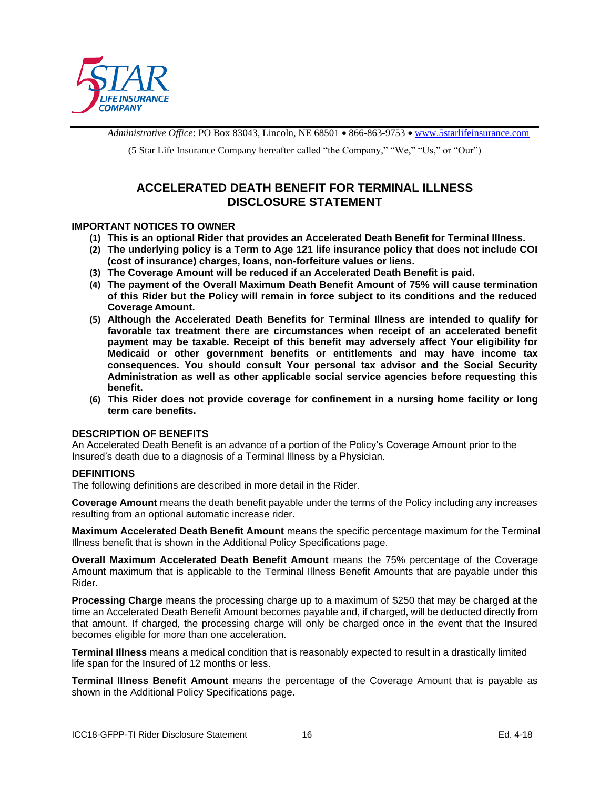

*Administrative Office*: PO Box 83043, Lincoln, NE 68501 • 866-863-9753 • [www.5starlifeinsurance.com](http://www.5starlifeinsurance.com/)

(5 Star Life Insurance Company hereafter called "the Company," "We," "Us," or "Our")

### **ACCELERATED DEATH BENEFIT FOR TERMINAL ILLNESS DISCLOSURE STATEMENT**

#### **IMPORTANT NOTICES TO OWNER**

- **(1) This is an optional Rider that provides an Accelerated Death Benefit for Terminal Illness.**
- **(2) The underlying policy is a Term to Age 121 life insurance policy that does not include COI (cost of insurance) charges, loans, non-forfeiture values or liens.**
- **(3) The Coverage Amount will be reduced if an Accelerated Death Benefit is paid.**
- **(4) The payment of the Overall Maximum Death Benefit Amount of 75% will cause termination of this Rider but the Policy will remain in force subject to its conditions and the reduced Coverage Amount.**
- **(5) Although the Accelerated Death Benefits for Terminal Illness are intended to qualify for favorable tax treatment there are circumstances when receipt of an accelerated benefit payment may be taxable. Receipt of this benefit may adversely affect Your eligibility for Medicaid or other government benefits or entitlements and may have income tax consequences. You should consult Your personal tax advisor and the Social Security Administration as well as other applicable social service agencies before requesting this benefit.**
- **(6) This Rider does not provide coverage for confinement in a nursing home facility or long term care benefits.**

#### **DESCRIPTION OF BENEFITS**

An Accelerated Death Benefit is an advance of a portion of the Policy's Coverage Amount prior to the Insured's death due to a diagnosis of a Terminal Illness by a Physician.

#### **DEFINITIONS**

The following definitions are described in more detail in the Rider.

**Coverage Amount** means the death benefit payable under the terms of the Policy including any increases resulting from an optional automatic increase rider.

**Maximum Accelerated Death Benefit Amount** means the specific percentage maximum for the Terminal Illness benefit that is shown in the Additional Policy Specifications page.

**Overall Maximum Accelerated Death Benefit Amount** means the 75% percentage of the Coverage Amount maximum that is applicable to the Terminal Illness Benefit Amounts that are payable under this Rider.

**Processing Charge** means the processing charge up to a maximum of \$250 that may be charged at the time an Accelerated Death Benefit Amount becomes payable and, if charged, will be deducted directly from that amount. If charged, the processing charge will only be charged once in the event that the Insured becomes eligible for more than one acceleration.

**Terminal Illness** means a medical condition that is reasonably expected to result in a drastically limited life span for the Insured of 12 months or less.

**Terminal Illness Benefit Amount** means the percentage of the Coverage Amount that is payable as shown in the Additional Policy Specifications page.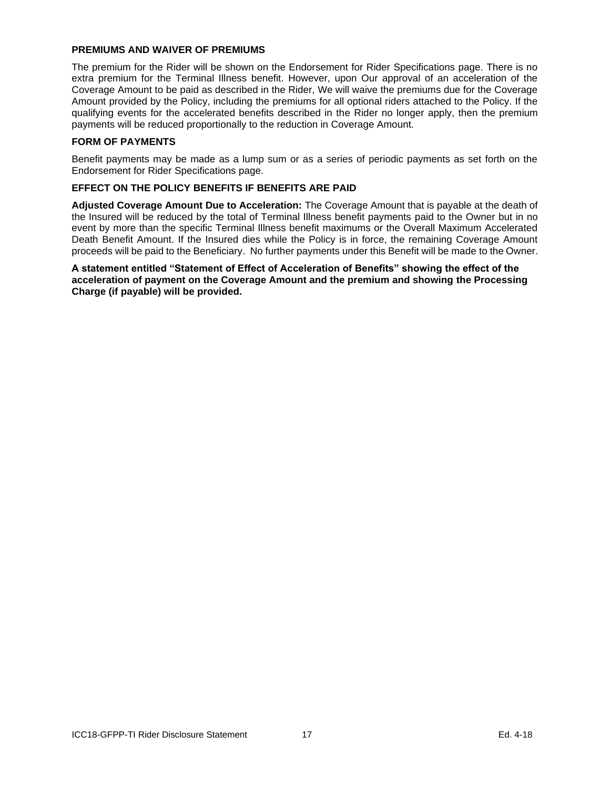#### **PREMIUMS AND WAIVER OF PREMIUMS**

The premium for the Rider will be shown on the Endorsement for Rider Specifications page. There is no extra premium for the Terminal Illness benefit. However, upon Our approval of an acceleration of the Coverage Amount to be paid as described in the Rider, We will waive the premiums due for the Coverage Amount provided by the Policy, including the premiums for all optional riders attached to the Policy. If the qualifying events for the accelerated benefits described in the Rider no longer apply, then the premium payments will be reduced proportionally to the reduction in Coverage Amount.

#### **FORM OF PAYMENTS**

Benefit payments may be made as a lump sum or as a series of periodic payments as set forth on the Endorsement for Rider Specifications page.

#### **EFFECT ON THE POLICY BENEFITS IF BENEFITS ARE PAID**

**Adjusted Coverage Amount Due to Acceleration:** The Coverage Amount that is payable at the death of the Insured will be reduced by the total of Terminal Illness benefit payments paid to the Owner but in no event by more than the specific Terminal Illness benefit maximums or the Overall Maximum Accelerated Death Benefit Amount. If the Insured dies while the Policy is in force, the remaining Coverage Amount proceeds will be paid to the Beneficiary. No further payments under this Benefit will be made to the Owner.

**A statement entitled "Statement of Effect of Acceleration of Benefits" showing the effect of the acceleration of payment on the Coverage Amount and the premium and showing the Processing Charge (if payable) will be provided.**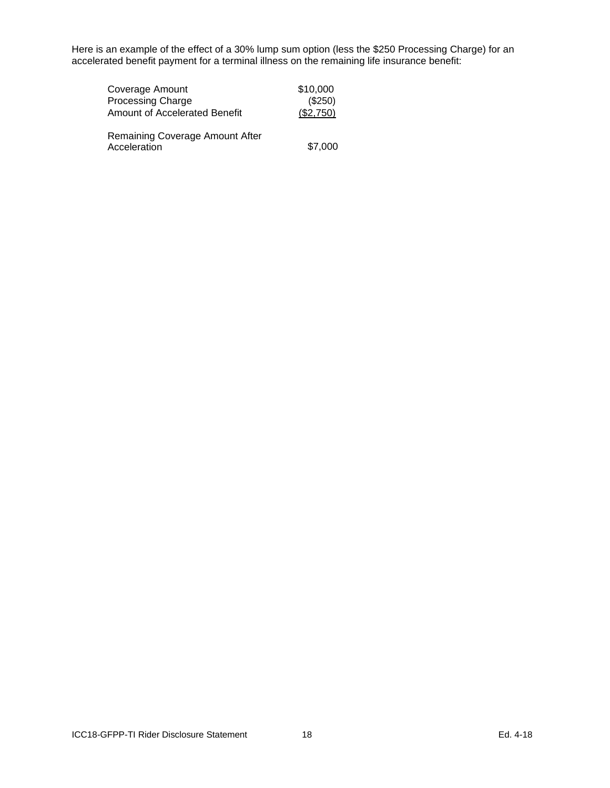Here is an example of the effect of a 30% lump sum option (less the \$250 Processing Charge) for an accelerated benefit payment for a terminal illness on the remaining life insurance benefit:

| Coverage Amount<br>Processing Charge            | \$10,000<br>(\$250) |
|-------------------------------------------------|---------------------|
| Amount of Accelerated Benefit                   | (\$2,750)           |
| Remaining Coverage Amount After<br>Acceleration | \$7,000             |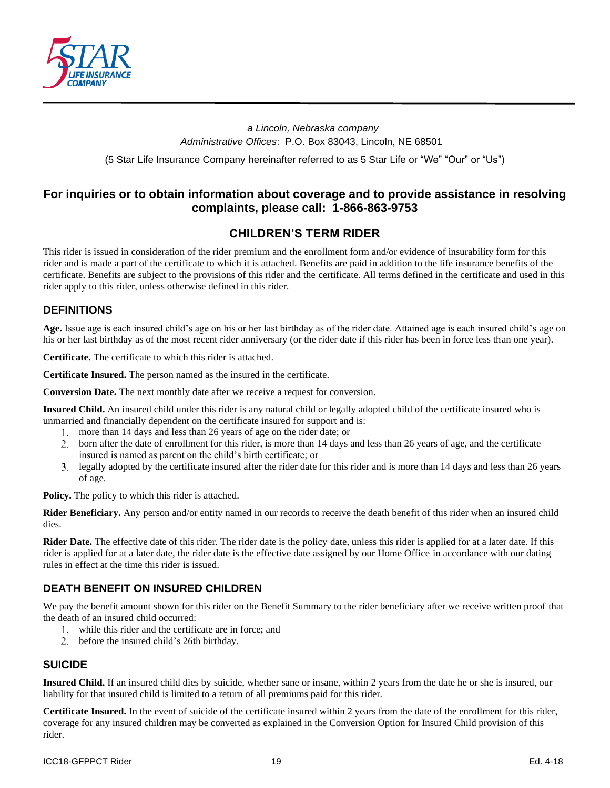

### *a Lincoln, Nebraska company Administrative Offices*: P.O. Box 83043, Lincoln, NE 68501

(5 Star Life Insurance Company hereinafter referred to as 5 Star Life or "We" "Our" or "Us")

### **For inquiries or to obtain information about coverage and to provide assistance in resolving complaints, please call: 1-866-863-9753**

### **CHILDREN'S TERM RIDER**

This rider is issued in consideration of the rider premium and the enrollment form and/or evidence of insurability form for this rider and is made a part of the certificate to which it is attached. Benefits are paid in addition to the life insurance benefits of the certificate. Benefits are subject to the provisions of this rider and the certificate. All terms defined in the certificate and used in this rider apply to this rider, unless otherwise defined in this rider.

### **DEFINITIONS**

**Age.** Issue age is each insured child's age on his or her last birthday as of the rider date. Attained age is each insured child's age on his or her last birthday as of the most recent rider anniversary (or the rider date if this rider has been in force less than one year).

**Certificate.** The certificate to which this rider is attached.

**Certificate Insured.** The person named as the insured in the certificate.

**Conversion Date.** The next monthly date after we receive a request for conversion.

**Insured Child.** An insured child under this rider is any natural child or legally adopted child of the certificate insured who is unmarried and financially dependent on the certificate insured for support and is:

- more than 14 days and less than 26 years of age on the rider date; or
- born after the date of enrollment for this rider, is more than 14 days and less than 26 years of age, and the certificate insured is named as parent on the child's birth certificate; or
- legally adopted by the certificate insured after the rider date for this rider and is more than 14 days and less than 26 years of age.

**Policy.** The policy to which this rider is attached.

**Rider Beneficiary.** Any person and/or entity named in our records to receive the death benefit of this rider when an insured child dies.

**Rider Date.** The effective date of this rider. The rider date is the policy date, unless this rider is applied for at a later date. If this rider is applied for at a later date, the rider date is the effective date assigned by our Home Office in accordance with our dating rules in effect at the time this rider is issued.

### **DEATH BENEFIT ON INSURED CHILDREN**

We pay the benefit amount shown for this rider on the Benefit Summary to the rider beneficiary after we receive written proof that the death of an insured child occurred:

- while this rider and the certificate are in force; and
- before the insured child's 26th birthday.

### **SUICIDE**

**Insured Child.** If an insured child dies by suicide, whether sane or insane, within 2 years from the date he or she is insured, our liability for that insured child is limited to a return of all premiums paid for this rider.

**Certificate Insured.** In the event of suicide of the certificate insured within 2 years from the date of the enrollment for this rider, coverage for any insured children may be converted as explained in the Conversion Option for Insured Child provision of this rider.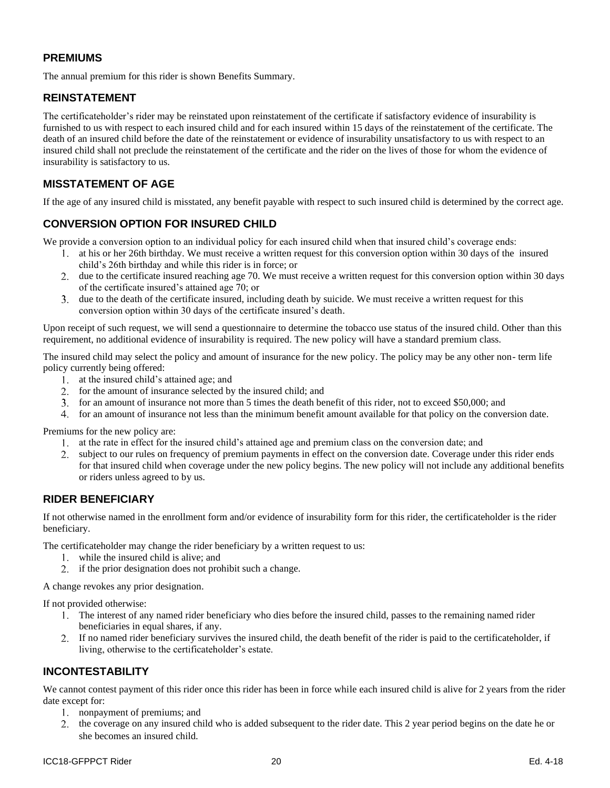### **PREMIUMS**

The annual premium for this rider is shown Benefits Summary.

### **REINSTATEMENT**

The certificateholder's rider may be reinstated upon reinstatement of the certificate if satisfactory evidence of insurability is furnished to us with respect to each insured child and for each insured within 15 days of the reinstatement of the certificate. The death of an insured child before the date of the reinstatement or evidence of insurability unsatisfactory to us with respect to an insured child shall not preclude the reinstatement of the certificate and the rider on the lives of those for whom the evidence of insurability is satisfactory to us.

### **MISSTATEMENT OF AGE**

If the age of any insured child is misstated, any benefit payable with respect to such insured child is determined by the correct age.

### **CONVERSION OPTION FOR INSURED CHILD**

We provide a conversion option to an individual policy for each insured child when that insured child's coverage ends:

- at his or her 26th birthday. We must receive a written request for this conversion option within 30 days of the insured child's 26th birthday and while this rider is in force; or
- due to the certificate insured reaching age 70. We must receive a written request for this conversion option within 30 days of the certificate insured's attained age 70; or
- due to the death of the certificate insured, including death by suicide. We must receive a written request for this conversion option within 30 days of the certificate insured's death.

Upon receipt of such request, we will send a questionnaire to determine the tobacco use status of the insured child. Other than this requirement, no additional evidence of insurability is required. The new policy will have a standard premium class.

The insured child may select the policy and amount of insurance for the new policy. The policy may be any other non- term life policy currently being offered:

- at the insured child's attained age; and
- 2. for the amount of insurance selected by the insured child; and
- for an amount of insurance not more than 5 times the death benefit of this rider, not to exceed \$50,000; and
- for an amount of insurance not less than the minimum benefit amount available for that policy on the conversion date.

Premiums for the new policy are:

- at the rate in effect for the insured child's attained age and premium class on the conversion date; and
- $2.$ subject to our rules on frequency of premium payments in effect on the conversion date. Coverage under this rider ends for that insured child when coverage under the new policy begins. The new policy will not include any additional benefits or riders unless agreed to by us.

#### **RIDER BENEFICIARY**

If not otherwise named in the enrollment form and/or evidence of insurability form for this rider, the certificateholder is the rider beneficiary.

The certificateholder may change the rider beneficiary by a written request to us:

- while the insured child is alive; and
- 2. if the prior designation does not prohibit such a change.

A change revokes any prior designation.

If not provided otherwise:

- The interest of any named rider beneficiary who dies before the insured child, passes to the remaining named rider beneficiaries in equal shares, if any.
- If no named rider beneficiary survives the insured child, the death benefit of the rider is paid to the certificateholder, if living, otherwise to the certificateholder's estate.

### **INCONTESTABILITY**

We cannot contest payment of this rider once this rider has been in force while each insured child is alive for 2 years from the rider date except for:

- 1. nonpayment of premiums; and
- the coverage on any insured child who is added subsequent to the rider date. This 2 year period begins on the date he or she becomes an insured child.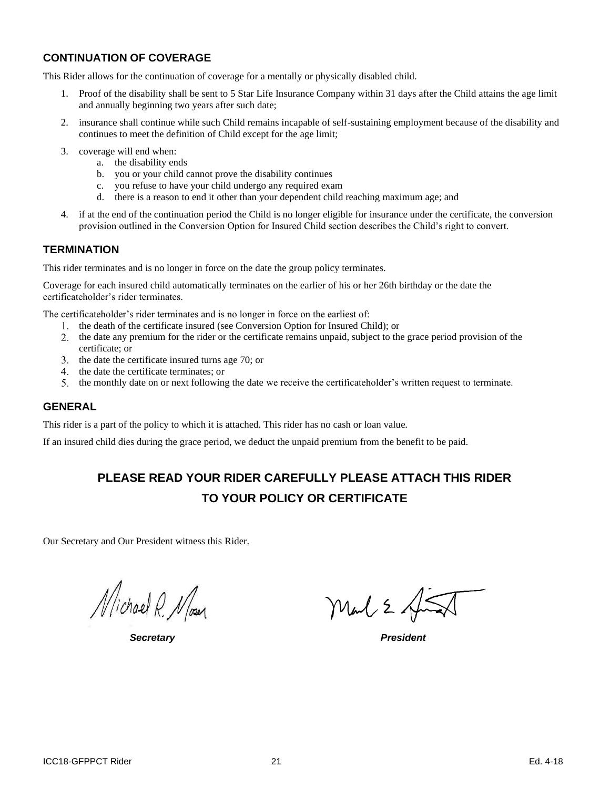### **CONTINUATION OF COVERAGE**

This Rider allows for the continuation of coverage for a mentally or physically disabled child.

- 1. Proof of the disability shall be sent to 5 Star Life Insurance Company within 31 days after the Child attains the age limit and annually beginning two years after such date;
- 2. insurance shall continue while such Child remains incapable of self-sustaining employment because of the disability and continues to meet the definition of Child except for the age limit;
- 3. coverage will end when:
	- a. the disability ends
	- b. you or your child cannot prove the disability continues
	- c. you refuse to have your child undergo any required exam
	- d. there is a reason to end it other than your dependent child reaching maximum age; and
- 4. if at the end of the continuation period the Child is no longer eligible for insurance under the certificate, the conversion provision outlined in the Conversion Option for Insured Child section describes the Child's right to convert.

#### **TERMINATION**

This rider terminates and is no longer in force on the date the group policy terminates.

Coverage for each insured child automatically terminates on the earlier of his or her 26th birthday or the date the certificateholder's rider terminates.

The certificateholder's rider terminates and is no longer in force on the earliest of:

- 1. the death of the certificate insured (see Conversion Option for Insured Child); or
- the date any premium for the rider or the certificate remains unpaid, subject to the grace period provision of the certificate; or
- 3. the date the certificate insured turns age 70; or
- the date the certificate terminates; or
- 5. the monthly date on or next following the date we receive the certificateholder's written request to terminate.

#### **GENERAL**

This rider is a part of the policy to which it is attached. This rider has no cash or loan value.

If an insured child dies during the grace period, we deduct the unpaid premium from the benefit to be paid.

## **PLEASE READ YOUR RIDER CAREFULLY PLEASE ATTACH THIS RIDER TO YOUR POLICY OR CERTIFICATE**

Our Secretary and Our President witness this Rider.

Michael R. Moser

*Secretary President*

Mal 2 f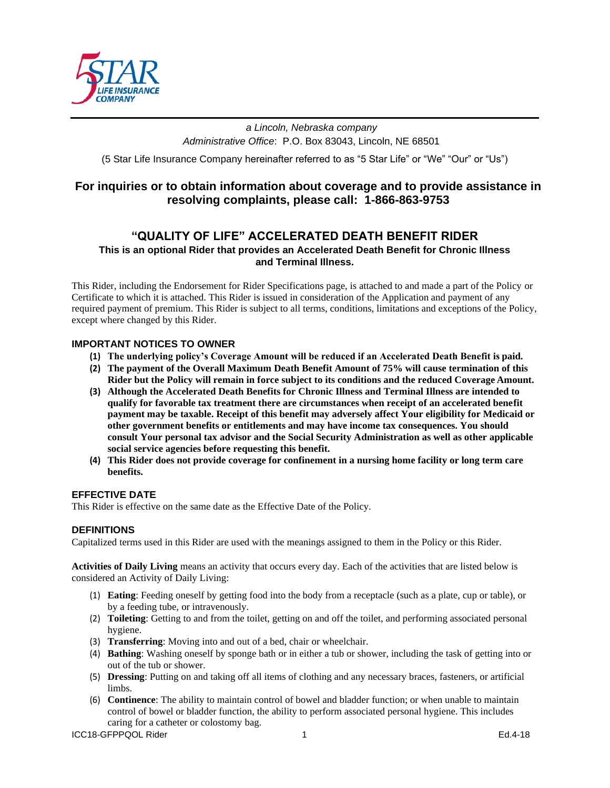

### *a Lincoln, Nebraska company Administrative Office*: P.O. Box 83043, Lincoln, NE 68501

(5 Star Life Insurance Company hereinafter referred to as "5 Star Life" or "We" "Our" or "Us")

### **For inquiries or to obtain information about coverage and to provide assistance in resolving complaints, please call: 1-866-863-9753**

### **"QUALITY OF LIFE" ACCELERATED DEATH BENEFIT RIDER This is an optional Rider that provides an Accelerated Death Benefit for Chronic Illness and Terminal Illness.**

This Rider, including the Endorsement for Rider Specifications page, is attached to and made a part of the Policy or Certificate to which it is attached. This Rider is issued in consideration of the Application and payment of any required payment of premium. This Rider is subject to all terms, conditions, limitations and exceptions of the Policy, except where changed by this Rider.

#### **IMPORTANT NOTICES TO OWNER**

- **(1) The underlying policy's Coverage Amount will be reduced if an Accelerated Death Benefit is paid.**
- **(2) The payment of the Overall Maximum Death Benefit Amount of 75% will cause termination of this Rider but the Policy will remain in force subject to its conditions and the reduced Coverage Amount.**
- **(3) Although the Accelerated Death Benefits for Chronic Illness and Terminal Illness are intended to qualify for favorable tax treatment there are circumstances when receipt of an accelerated benefit payment may be taxable. Receipt of this benefit may adversely affect Your eligibility for Medicaid or other government benefits or entitlements and may have income tax consequences. You should consult Your personal tax advisor and the Social Security Administration as well as other applicable social service agencies before requesting this benefit.**
- **(4) This Rider does not provide coverage for confinement in a nursing home facility or long term care benefits.**

#### **EFFECTIVE DATE**

This Rider is effective on the same date as the Effective Date of the Policy.

#### **DEFINITIONS**

Capitalized terms used in this Rider are used with the meanings assigned to them in the Policy or this Rider.

**Activities of Daily Living** means an activity that occurs every day. Each of the activities that are listed below is considered an Activity of Daily Living:

- (1) **Eating**: Feeding oneself by getting food into the body from a receptacle (such as a plate, cup or table), or by a feeding tube, or intravenously.
- (2) **Toileting**: Getting to and from the toilet, getting on and off the toilet, and performing associated personal hygiene.
- (3) **Transferring**: Moving into and out of a bed, chair or wheelchair.
- (4) **Bathing**: Washing oneself by sponge bath or in either a tub or shower, including the task of getting into or out of the tub or shower.
- (5) **Dressing**: Putting on and taking off all items of clothing and any necessary braces, fasteners, or artificial limbs.
- (6) **Continence**: The ability to maintain control of bowel and bladder function; or when unable to maintain control of bowel or bladder function, the ability to perform associated personal hygiene. This includes caring for a catheter or colostomy bag.

ICC18-GFPPQOL Rider 1 and 1 and 1 Ed.4-18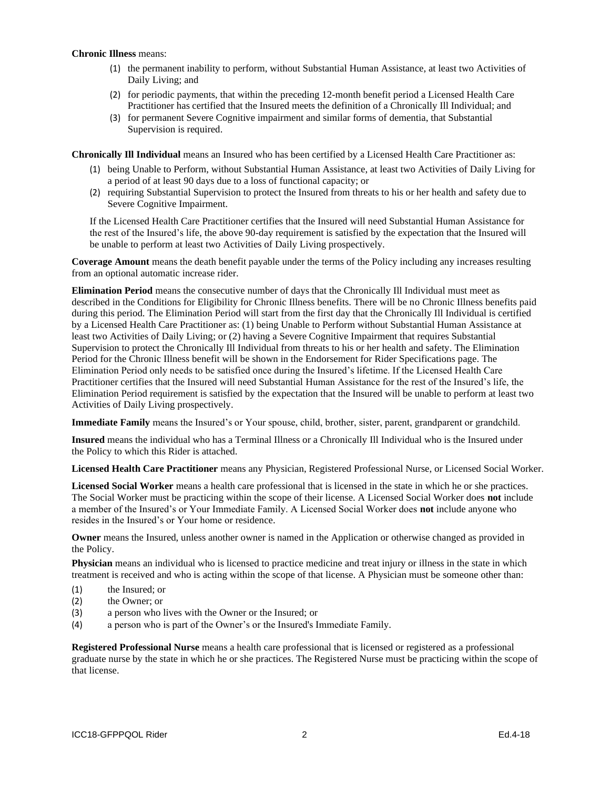#### **Chronic Illness** means:

- (1) the permanent inability to perform, without Substantial Human Assistance, at least two Activities of Daily Living; and
- (2) for periodic payments, that within the preceding 12-month benefit period a Licensed Health Care Practitioner has certified that the Insured meets the definition of a Chronically Ill Individual; and
- (3) for permanent Severe Cognitive impairment and similar forms of dementia, that Substantial Supervision is required.

**Chronically Ill Individual** means an Insured who has been certified by a Licensed Health Care Practitioner as:

- (1) being Unable to Perform, without Substantial Human Assistance, at least two Activities of Daily Living for a period of at least 90 days due to a loss of functional capacity; or
- (2) requiring Substantial Supervision to protect the Insured from threats to his or her health and safety due to Severe Cognitive Impairment.

If the Licensed Health Care Practitioner certifies that the Insured will need Substantial Human Assistance for the rest of the Insured's life, the above 90-day requirement is satisfied by the expectation that the Insured will be unable to perform at least two Activities of Daily Living prospectively.

**Coverage Amount** means the death benefit payable under the terms of the Policy including any increases resulting from an optional automatic increase rider.

**Elimination Period** means the consecutive number of days that the Chronically Ill Individual must meet as described in the Conditions for Eligibility for Chronic Illness benefits. There will be no Chronic Illness benefits paid during this period. The Elimination Period will start from the first day that the Chronically Ill Individual is certified by a Licensed Health Care Practitioner as: (1) being Unable to Perform without Substantial Human Assistance at least two Activities of Daily Living; or (2) having a Severe Cognitive Impairment that requires Substantial Supervision to protect the Chronically Ill Individual from threats to his or her health and safety. The Elimination Period for the Chronic Illness benefit will be shown in the Endorsement for Rider Specifications page. The Elimination Period only needs to be satisfied once during the Insured's lifetime. If the Licensed Health Care Practitioner certifies that the Insured will need Substantial Human Assistance for the rest of the Insured's life, the Elimination Period requirement is satisfied by the expectation that the Insured will be unable to perform at least two Activities of Daily Living prospectively.

**Immediate Family** means the Insured's or Your spouse, child, brother, sister, parent, grandparent or grandchild.

**Insured** means the individual who has a Terminal Illness or a Chronically Ill Individual who is the Insured under the Policy to which this Rider is attached.

**Licensed Health Care Practitioner** means any Physician, Registered Professional Nurse, or Licensed Social Worker.

**Licensed Social Worker** means a health care professional that is licensed in the state in which he or she practices. The Social Worker must be practicing within the scope of their license. A Licensed Social Worker does **not** include a member of the Insured's or Your Immediate Family. A Licensed Social Worker does **not** include anyone who resides in the Insured's or Your home or residence.

**Owner** means the Insured, unless another owner is named in the Application or otherwise changed as provided in the Policy.

**Physician** means an individual who is licensed to practice medicine and treat injury or illness in the state in which treatment is received and who is acting within the scope of that license. A Physician must be someone other than:

- (1) the Insured; or
- (2) the Owner; or
- (3) a person who lives with the Owner or the Insured; or
- (4) a person who is part of the Owner's or the Insured's Immediate Family.

**Registered Professional Nurse** means a health care professional that is licensed or registered as a professional graduate nurse by the state in which he or she practices. The Registered Nurse must be practicing within the scope of that license.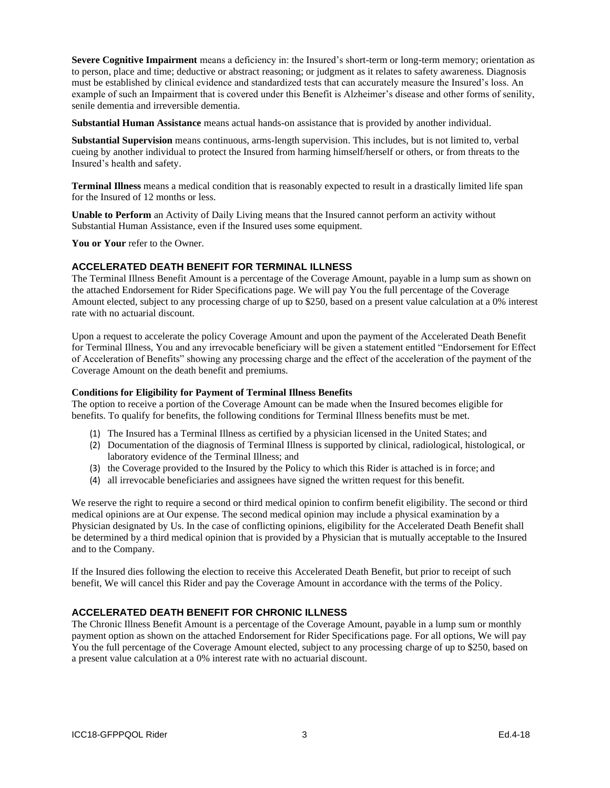**Severe Cognitive Impairment** means a deficiency in: the Insured's short-term or long-term memory; orientation as to person, place and time; deductive or abstract reasoning; or judgment as it relates to safety awareness. Diagnosis must be established by clinical evidence and standardized tests that can accurately measure the Insured's loss. An example of such an Impairment that is covered under this Benefit is Alzheimer's disease and other forms of senility, senile dementia and irreversible dementia.

**Substantial Human Assistance** means actual hands-on assistance that is provided by another individual.

**Substantial Supervision** means continuous, arms-length supervision. This includes, but is not limited to, verbal cueing by another individual to protect the Insured from harming himself/herself or others, or from threats to the Insured's health and safety.

**Terminal Illness** means a medical condition that is reasonably expected to result in a drastically limited life span for the Insured of 12 months or less.

**Unable to Perform** an Activity of Daily Living means that the Insured cannot perform an activity without Substantial Human Assistance, even if the Insured uses some equipment.

You or Your refer to the Owner.

#### **ACCELERATED DEATH BENEFIT FOR TERMINAL ILLNESS**

The Terminal Illness Benefit Amount is a percentage of the Coverage Amount, payable in a lump sum as shown on the attached Endorsement for Rider Specifications page. We will pay You the full percentage of the Coverage Amount elected, subject to any processing charge of up to \$250, based on a present value calculation at a 0% interest rate with no actuarial discount.

Upon a request to accelerate the policy Coverage Amount and upon the payment of the Accelerated Death Benefit for Terminal Illness, You and any irrevocable beneficiary will be given a statement entitled "Endorsement for Effect of Acceleration of Benefits" showing any processing charge and the effect of the acceleration of the payment of the Coverage Amount on the death benefit and premiums.

#### **Conditions for Eligibility for Payment of Terminal Illness Benefits**

The option to receive a portion of the Coverage Amount can be made when the Insured becomes eligible for benefits. To qualify for benefits, the following conditions for Terminal Illness benefits must be met.

- (1) The Insured has a Terminal Illness as certified by a physician licensed in the United States; and
- (2) Documentation of the diagnosis of Terminal Illness is supported by clinical, radiological, histological, or laboratory evidence of the Terminal Illness; and
- (3) the Coverage provided to the Insured by the Policy to which this Rider is attached is in force; and
- (4) all irrevocable beneficiaries and assignees have signed the written request for this benefit.

We reserve the right to require a second or third medical opinion to confirm benefit eligibility. The second or third medical opinions are at Our expense. The second medical opinion may include a physical examination by a Physician designated by Us. In the case of conflicting opinions, eligibility for the Accelerated Death Benefit shall be determined by a third medical opinion that is provided by a Physician that is mutually acceptable to the Insured and to the Company.

If the Insured dies following the election to receive this Accelerated Death Benefit, but prior to receipt of such benefit, We will cancel this Rider and pay the Coverage Amount in accordance with the terms of the Policy.

#### **ACCELERATED DEATH BENEFIT FOR CHRONIC ILLNESS**

The Chronic Illness Benefit Amount is a percentage of the Coverage Amount, payable in a lump sum or monthly payment option as shown on the attached Endorsement for Rider Specifications page. For all options, We will pay You the full percentage of the Coverage Amount elected, subject to any processing charge of up to \$250, based on a present value calculation at a 0% interest rate with no actuarial discount.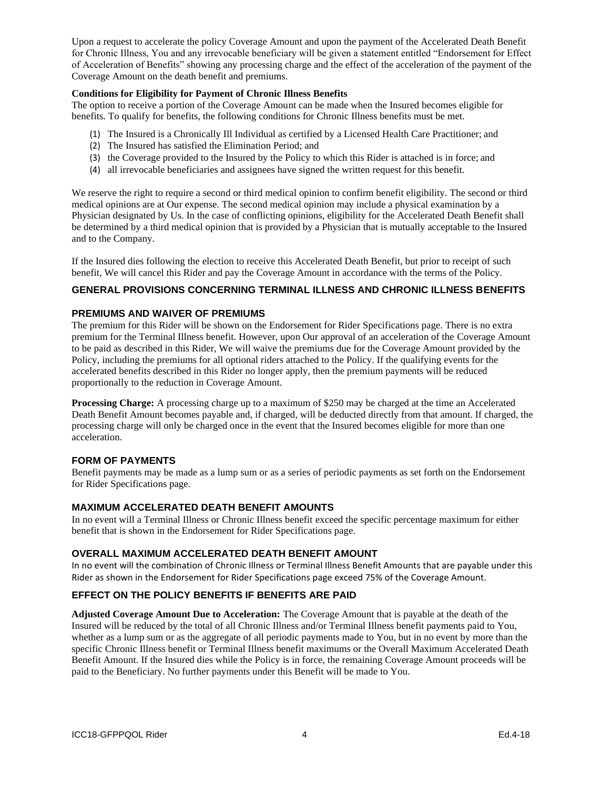Upon a request to accelerate the policy Coverage Amount and upon the payment of the Accelerated Death Benefit for Chronic Illness, You and any irrevocable beneficiary will be given a statement entitled "Endorsement for Effect of Acceleration of Benefits" showing any processing charge and the effect of the acceleration of the payment of the Coverage Amount on the death benefit and premiums.

#### **Conditions for Eligibility for Payment of Chronic Illness Benefits**

The option to receive a portion of the Coverage Amount can be made when the Insured becomes eligible for benefits. To qualify for benefits, the following conditions for Chronic Illness benefits must be met.

- (1) The Insured is a Chronically Ill Individual as certified by a Licensed Health Care Practitioner; and
- (2) The Insured has satisfied the Elimination Period; and
- (3) the Coverage provided to the Insured by the Policy to which this Rider is attached is in force; and
- (4) all irrevocable beneficiaries and assignees have signed the written request for this benefit.

We reserve the right to require a second or third medical opinion to confirm benefit eligibility. The second or third medical opinions are at Our expense. The second medical opinion may include a physical examination by a Physician designated by Us. In the case of conflicting opinions, eligibility for the Accelerated Death Benefit shall be determined by a third medical opinion that is provided by a Physician that is mutually acceptable to the Insured and to the Company.

If the Insured dies following the election to receive this Accelerated Death Benefit, but prior to receipt of such benefit, We will cancel this Rider and pay the Coverage Amount in accordance with the terms of the Policy.

#### **GENERAL PROVISIONS CONCERNING TERMINAL ILLNESS AND CHRONIC ILLNESS BENEFITS**

#### **PREMIUMS AND WAIVER OF PREMIUMS**

The premium for this Rider will be shown on the Endorsement for Rider Specifications page. There is no extra premium for the Terminal Illness benefit. However, upon Our approval of an acceleration of the Coverage Amount to be paid as described in this Rider, We will waive the premiums due for the Coverage Amount provided by the Policy, including the premiums for all optional riders attached to the Policy. If the qualifying events for the accelerated benefits described in this Rider no longer apply, then the premium payments will be reduced proportionally to the reduction in Coverage Amount.

**Processing Charge:** A processing charge up to a maximum of \$250 may be charged at the time an Accelerated Death Benefit Amount becomes payable and, if charged, will be deducted directly from that amount. If charged, the processing charge will only be charged once in the event that the Insured becomes eligible for more than one acceleration.

#### **FORM OF PAYMENTS**

Benefit payments may be made as a lump sum or as a series of periodic payments as set forth on the Endorsement for Rider Specifications page.

#### **MAXIMUM ACCELERATED DEATH BENEFIT AMOUNTS**

In no event will a Terminal Illness or Chronic Illness benefit exceed the specific percentage maximum for either benefit that is shown in the Endorsement for Rider Specifications page.

#### **OVERALL MAXIMUM ACCELERATED DEATH BENEFIT AMOUNT**

In no event will the combination of Chronic Illness or Terminal Illness Benefit Amounts that are payable under this Rider as shown in the Endorsement for Rider Specifications page exceed 75% of the Coverage Amount.

#### **EFFECT ON THE POLICY BENEFITS IF BENEFITS ARE PAID**

**Adjusted Coverage Amount Due to Acceleration:** The Coverage Amount that is payable at the death of the Insured will be reduced by the total of all Chronic Illness and/or Terminal Illness benefit payments paid to You, whether as a lump sum or as the aggregate of all periodic payments made to You, but in no event by more than the specific Chronic Illness benefit or Terminal Illness benefit maximums or the Overall Maximum Accelerated Death Benefit Amount. If the Insured dies while the Policy is in force, the remaining Coverage Amount proceeds will be paid to the Beneficiary. No further payments under this Benefit will be made to You.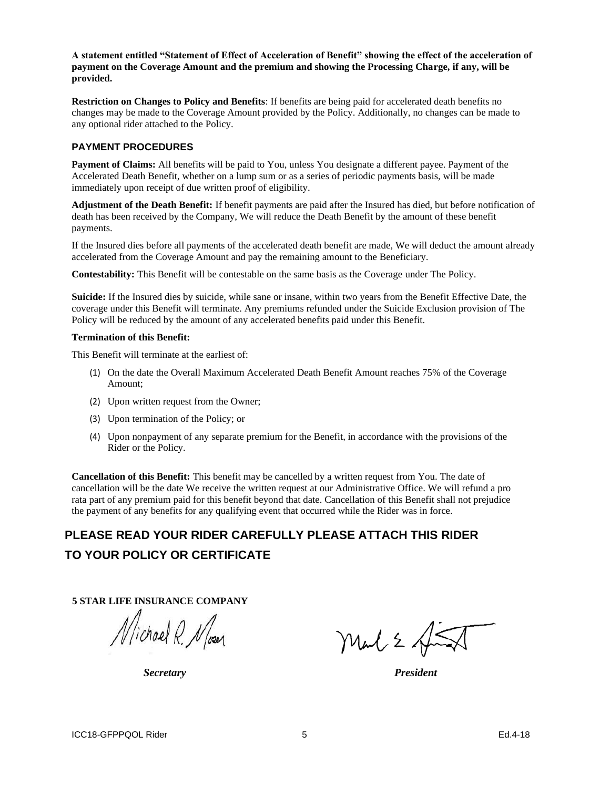**A statement entitled "Statement of Effect of Acceleration of Benefit" showing the effect of the acceleration of payment on the Coverage Amount and the premium and showing the Processing Charge, if any, will be provided.**

**Restriction on Changes to Policy and Benefits**: If benefits are being paid for accelerated death benefits no changes may be made to the Coverage Amount provided by the Policy. Additionally, no changes can be made to any optional rider attached to the Policy.

#### **PAYMENT PROCEDURES**

**Payment of Claims:** All benefits will be paid to You, unless You designate a different payee. Payment of the Accelerated Death Benefit, whether on a lump sum or as a series of periodic payments basis, will be made immediately upon receipt of due written proof of eligibility.

**Adjustment of the Death Benefit:** If benefit payments are paid after the Insured has died, but before notification of death has been received by the Company, We will reduce the Death Benefit by the amount of these benefit payments.

If the Insured dies before all payments of the accelerated death benefit are made, We will deduct the amount already accelerated from the Coverage Amount and pay the remaining amount to the Beneficiary.

**Contestability:** This Benefit will be contestable on the same basis as the Coverage under The Policy.

**Suicide:** If the Insured dies by suicide, while sane or insane, within two years from the Benefit Effective Date, the coverage under this Benefit will terminate. Any premiums refunded under the Suicide Exclusion provision of The Policy will be reduced by the amount of any accelerated benefits paid under this Benefit.

#### **Termination of this Benefit:**

This Benefit will terminate at the earliest of:

- (1) On the date the Overall Maximum Accelerated Death Benefit Amount reaches 75% of the Coverage Amount;
- (2) Upon written request from the Owner;
- (3) Upon termination of the Policy; or
- (4) Upon nonpayment of any separate premium for the Benefit, in accordance with the provisions of the Rider or the Policy.

**Cancellation of this Benefit:** This benefit may be cancelled by a written request from You. The date of cancellation will be the date We receive the written request at our Administrative Office. We will refund a pro rata part of any premium paid for this benefit beyond that date. Cancellation of this Benefit shall not prejudice the payment of any benefits for any qualifying event that occurred while the Rider was in force.

## **PLEASE READ YOUR RIDER CAREFULLY PLEASE ATTACH THIS RIDER**

#### **TO YOUR POLICY OR CERTIFICATE**

**5 STAR LIFE INSURANCE COMPANY**

Michael R. Moses

Mal 2 f

*Secretary President*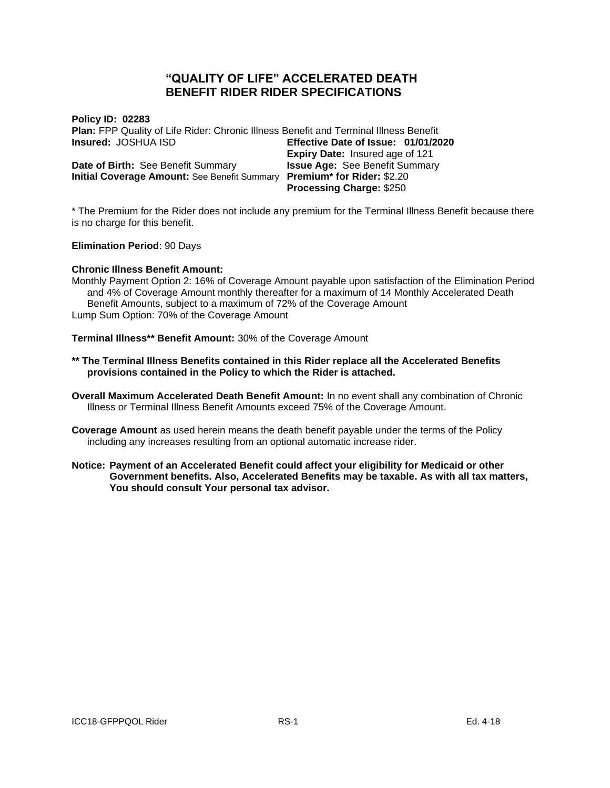### **"QUALITY OF LIFE" ACCELERATED DEATH BENEFIT RIDER RIDER SPECIFICATIONS**

**Policy ID: 02283 Plan:** FPP Quality of Life Rider: Chronic Illness Benefit and Terminal Illness Benefit<br>**Insured:** JOSHUA ISD **Effective Date of Issue: 01/01/20 Insurate:** Insure: 01/01/2020 **Expiry Date:** Insured age of 121 **Date of Birth:** See Benefit Summary **Issue Age:** See Benefit Summary **Initial Coverage Amount:** See Benefit Summary **Premium\* for Rider:** \$2.20 **Processing Charge:** \$250

\* The Premium for the Rider does not include any premium for the Terminal Illness Benefit because there is no charge for this benefit.

#### **Elimination Period**: 90 Days

#### **Chronic Illness Benefit Amount:**

Monthly Payment Option 2: 16% of Coverage Amount payable upon satisfaction of the Elimination Period and 4% of Coverage Amount monthly thereafter for a maximum of 14 Monthly Accelerated Death Benefit Amounts, subject to a maximum of 72% of the Coverage Amount Lump Sum Option: 70% of the Coverage Amount

**Terminal Illness\*\* Benefit Amount:** 30% of the Coverage Amount

- **\*\* The Terminal Illness Benefits contained in this Rider replace all the Accelerated Benefits provisions contained in the Policy to which the Rider is attached.**
- **Overall Maximum Accelerated Death Benefit Amount:** In no event shall any combination of Chronic Illness or Terminal Illness Benefit Amounts exceed 75% of the Coverage Amount.
- **Coverage Amount** as used herein means the death benefit payable under the terms of the Policy including any increases resulting from an optional automatic increase rider.
- **Notice: Payment of an Accelerated Benefit could affect your eligibility for Medicaid or other Government benefits. Also, Accelerated Benefits may be taxable. As with all tax matters, You should consult Your personal tax advisor.**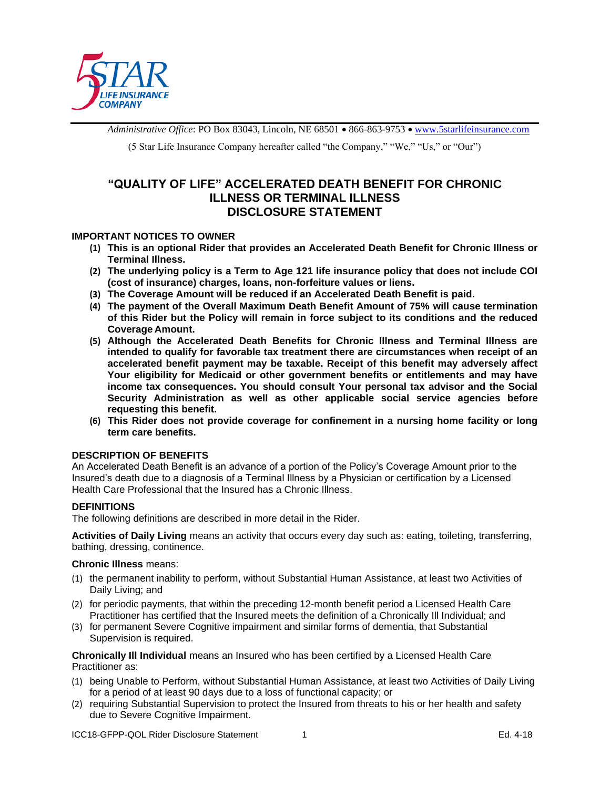

*Administrative Office*: PO Box 83043, Lincoln, NE 68501 • 866-863-9753 • [www.5starlifeinsurance.com](http://www.5starlifeinsurance.com/)

(5 Star Life Insurance Company hereafter called "the Company," "We," "Us," or "Our")

### **"QUALITY OF LIFE" ACCELERATED DEATH BENEFIT FOR CHRONIC ILLNESS OR TERMINAL ILLNESS DISCLOSURE STATEMENT**

#### **IMPORTANT NOTICES TO OWNER**

- **(1) This is an optional Rider that provides an Accelerated Death Benefit for Chronic Illness or Terminal Illness.**
- **(2) The underlying policy is a Term to Age 121 life insurance policy that does not include COI (cost of insurance) charges, loans, non-forfeiture values or liens.**
- **(3) The Coverage Amount will be reduced if an Accelerated Death Benefit is paid.**
- **(4) The payment of the Overall Maximum Death Benefit Amount of 75% will cause termination of this Rider but the Policy will remain in force subject to its conditions and the reduced Coverage Amount.**
- **(5) Although the Accelerated Death Benefits for Chronic Illness and Terminal Illness are intended to qualify for favorable tax treatment there are circumstances when receipt of an accelerated benefit payment may be taxable. Receipt of this benefit may adversely affect Your eligibility for Medicaid or other government benefits or entitlements and may have income tax consequences. You should consult Your personal tax advisor and the Social Security Administration as well as other applicable social service agencies before requesting this benefit.**
- **(6) This Rider does not provide coverage for confinement in a nursing home facility or long term care benefits.**

#### **DESCRIPTION OF BENEFITS**

An Accelerated Death Benefit is an advance of a portion of the Policy's Coverage Amount prior to the Insured's death due to a diagnosis of a Terminal Illness by a Physician or certification by a Licensed Health Care Professional that the Insured has a Chronic Illness.

#### **DEFINITIONS**

The following definitions are described in more detail in the Rider.

**Activities of Daily Living** means an activity that occurs every day such as: eating, toileting, transferring, bathing, dressing, continence.

#### **Chronic Illness** means:

- (1) the permanent inability to perform, without Substantial Human Assistance, at least two Activities of Daily Living; and
- (2) for periodic payments, that within the preceding 12-month benefit period a Licensed Health Care Practitioner has certified that the Insured meets the definition of a Chronically Ill Individual; and
- (3) for permanent Severe Cognitive impairment and similar forms of dementia, that Substantial Supervision is required.

**Chronically Ill Individual** means an Insured who has been certified by a Licensed Health Care Practitioner as:

- (1) being Unable to Perform, without Substantial Human Assistance, at least two Activities of Daily Living for a period of at least 90 days due to a loss of functional capacity; or
- (2) requiring Substantial Supervision to protect the Insured from threats to his or her health and safety due to Severe Cognitive Impairment.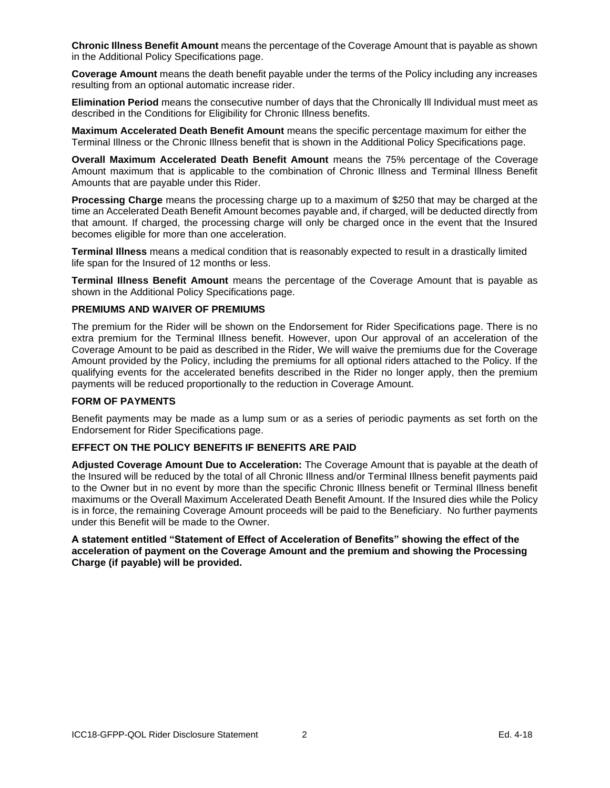**Chronic Illness Benefit Amount** means the percentage of the Coverage Amount that is payable as shown in the Additional Policy Specifications page.

**Coverage Amount** means the death benefit payable under the terms of the Policy including any increases resulting from an optional automatic increase rider.

**Elimination Period** means the consecutive number of days that the Chronically Ill Individual must meet as described in the Conditions for Eligibility for Chronic Illness benefits.

**Maximum Accelerated Death Benefit Amount** means the specific percentage maximum for either the Terminal Illness or the Chronic Illness benefit that is shown in the Additional Policy Specifications page.

**Overall Maximum Accelerated Death Benefit Amount** means the 75% percentage of the Coverage Amount maximum that is applicable to the combination of Chronic Illness and Terminal Illness Benefit Amounts that are payable under this Rider.

**Processing Charge** means the processing charge up to a maximum of \$250 that may be charged at the time an Accelerated Death Benefit Amount becomes payable and, if charged, will be deducted directly from that amount. If charged, the processing charge will only be charged once in the event that the Insured becomes eligible for more than one acceleration.

**Terminal Illness** means a medical condition that is reasonably expected to result in a drastically limited life span for the Insured of 12 months or less.

**Terminal Illness Benefit Amount** means the percentage of the Coverage Amount that is payable as shown in the Additional Policy Specifications page.

#### **PREMIUMS AND WAIVER OF PREMIUMS**

The premium for the Rider will be shown on the Endorsement for Rider Specifications page. There is no extra premium for the Terminal Illness benefit. However, upon Our approval of an acceleration of the Coverage Amount to be paid as described in the Rider, We will waive the premiums due for the Coverage Amount provided by the Policy, including the premiums for all optional riders attached to the Policy. If the qualifying events for the accelerated benefits described in the Rider no longer apply, then the premium payments will be reduced proportionally to the reduction in Coverage Amount.

#### **FORM OF PAYMENTS**

Benefit payments may be made as a lump sum or as a series of periodic payments as set forth on the Endorsement for Rider Specifications page.

#### **EFFECT ON THE POLICY BENEFITS IF BENEFITS ARE PAID**

**Adjusted Coverage Amount Due to Acceleration:** The Coverage Amount that is payable at the death of the Insured will be reduced by the total of all Chronic Illness and/or Terminal Illness benefit payments paid to the Owner but in no event by more than the specific Chronic Illness benefit or Terminal Illness benefit maximums or the Overall Maximum Accelerated Death Benefit Amount. If the Insured dies while the Policy is in force, the remaining Coverage Amount proceeds will be paid to the Beneficiary. No further payments under this Benefit will be made to the Owner.

**A statement entitled "Statement of Effect of Acceleration of Benefits" showing the effect of the acceleration of payment on the Coverage Amount and the premium and showing the Processing Charge (if payable) will be provided.**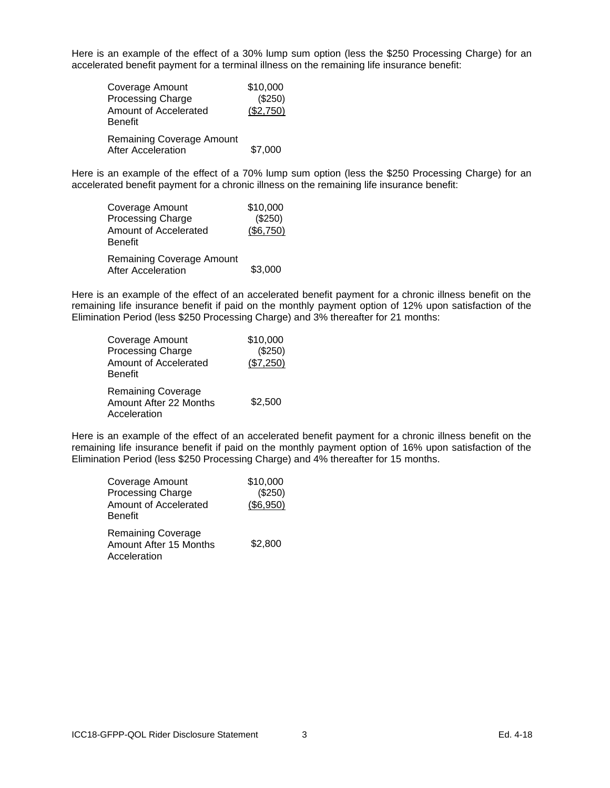Here is an example of the effect of a 30% lump sum option (less the \$250 Processing Charge) for an accelerated benefit payment for a terminal illness on the remaining life insurance benefit:

| Coverage Amount                                        | \$10,000  |
|--------------------------------------------------------|-----------|
| Processing Charge                                      | (\$250)   |
| Amount of Accelerated<br><b>Benefit</b>                | (\$2,750) |
| Remaining Coverage Amount<br><b>After Acceleration</b> | \$7,000   |

Here is an example of the effect of a 70% lump sum option (less the \$250 Processing Charge) for an accelerated benefit payment for a chronic illness on the remaining life insurance benefit:

| Coverage Amount                                        | \$10,000  |
|--------------------------------------------------------|-----------|
| Processing Charge                                      | (\$250)   |
| Amount of Accelerated<br><b>Benefit</b>                | (\$6,750) |
| Remaining Coverage Amount<br><b>After Acceleration</b> | \$3,000   |

Here is an example of the effect of an accelerated benefit payment for a chronic illness benefit on the remaining life insurance benefit if paid on the monthly payment option of 12% upon satisfaction of the Elimination Period (less \$250 Processing Charge) and 3% thereafter for 21 months:

| Coverage Amount                                                     | \$10,000  |
|---------------------------------------------------------------------|-----------|
| Processing Charge                                                   | (\$250)   |
| Amount of Accelerated<br><b>Benefit</b>                             | (\$7,250) |
| <b>Remaining Coverage</b><br>Amount After 22 Months<br>Acceleration | \$2,500   |

Here is an example of the effect of an accelerated benefit payment for a chronic illness benefit on the remaining life insurance benefit if paid on the monthly payment option of 16% upon satisfaction of the Elimination Period (less \$250 Processing Charge) and 4% thereafter for 15 months.

| Coverage Amount<br>Processing Charge<br>Amount of Accelerated<br><b>Benefit</b> | \$10,000<br>(\$250)<br>(\$6,950) |
|---------------------------------------------------------------------------------|----------------------------------|
| <b>Remaining Coverage</b><br>Amount After 15 Months<br>Acceleration             | \$2,800                          |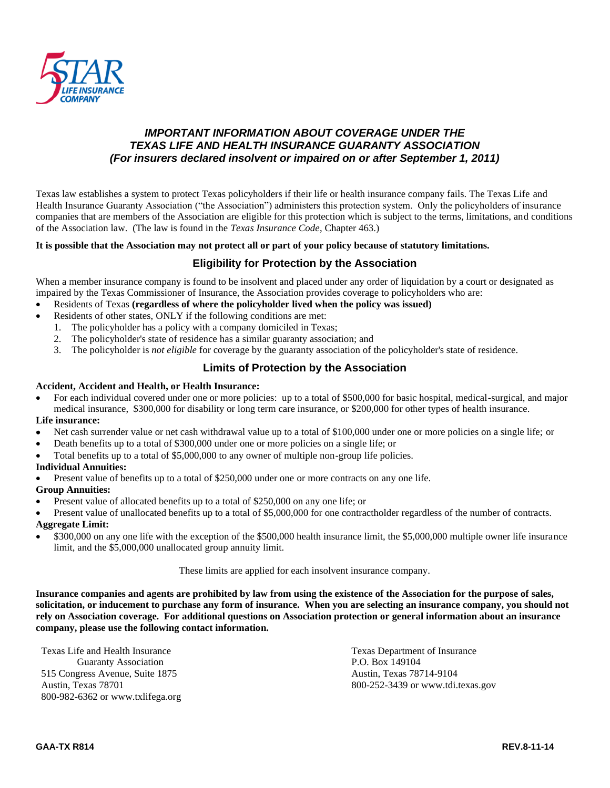

#### *IMPORTANT INFORMATION ABOUT COVERAGE UNDER THE TEXAS LIFE AND HEALTH INSURANCE GUARANTY ASSOCIATION (For insurers declared insolvent or impaired on or after September 1, 2011)*

Texas law establishes a system to protect Texas policyholders if their life or health insurance company fails. The Texas Life and Health Insurance Guaranty Association ("the Association") administers this protection system. Only the policyholders of insurance companies that are members of the Association are eligible for this protection which is subject to the terms, limitations, and conditions of the Association law. (The law is found in the *Texas Insurance Code*, Chapter 463.)

#### **It is possible that the Association may not protect all or part of your policy because of statutory limitations.**

#### **Eligibility for Protection by the Association**

When a member insurance company is found to be insolvent and placed under any order of liquidation by a court or designated as impaired by the Texas Commissioner of Insurance, the Association provides coverage to policyholders who are:

- Residents of Texas **(regardless of where the policyholder lived when the policy was issued)**
- Residents of other states, ONLY if the following conditions are met:
	- 1. The policyholder has a policy with a company domiciled in Texas;
	- 2. The policyholder's state of residence has a similar guaranty association; and
	- 3. The policyholder is *not eligible* for coverage by the guaranty association of the policyholder's state of residence.

#### **Limits of Protection by the Association**

#### **Accident, Accident and Health, or Health Insurance:**

• For each individual covered under one or more policies: up to a total of \$500,000 for basic hospital, medical-surgical, and major medical insurance, \$300,000 for disability or long term care insurance, or \$200,000 for other types of health insurance.

#### **Life insurance:**

- Net cash surrender value or net cash withdrawal value up to a total of \$100,000 under one or more policies on a single life; or
- Death benefits up to a total of \$300,000 under one or more policies on a single life; or
- Total benefits up to a total of \$5,000,000 to any owner of multiple non-group life policies.

#### **Individual Annuities:**

• Present value of benefits up to a total of \$250,000 under one or more contracts on any one life.

#### **Group Annuities:**

- Present value of allocated benefits up to a total of \$250,000 on any one life; or
- Present value of unallocated benefits up to a total of \$5,000,000 for one contractholder regardless of the number of contracts.

#### **Aggregate Limit:**

• \$300,000 on any one life with the exception of the \$500,000 health insurance limit, the \$5,000,000 multiple owner life insurance limit, and the \$5,000,000 unallocated group annuity limit.

These limits are applied for each insolvent insurance company.

**Insurance companies and agents are prohibited by law from using the existence of the Association for the purpose of sales, solicitation, or inducement to purchase any form of insurance. When you are selecting an insurance company, you should not rely on Association coverage. For additional questions on Association protection or general information about an insurance company, please use the following contact information.**

Texas Life and Health Insurance Guaranty Association 515 Congress Avenue, Suite 1875 Austin, Texas 78701 800-982-6362 or www.txlifega.org Texas Department of Insurance P.O. Box 149104 Austin, Texas 78714-9104 800-252-3439 or www.tdi.texas.gov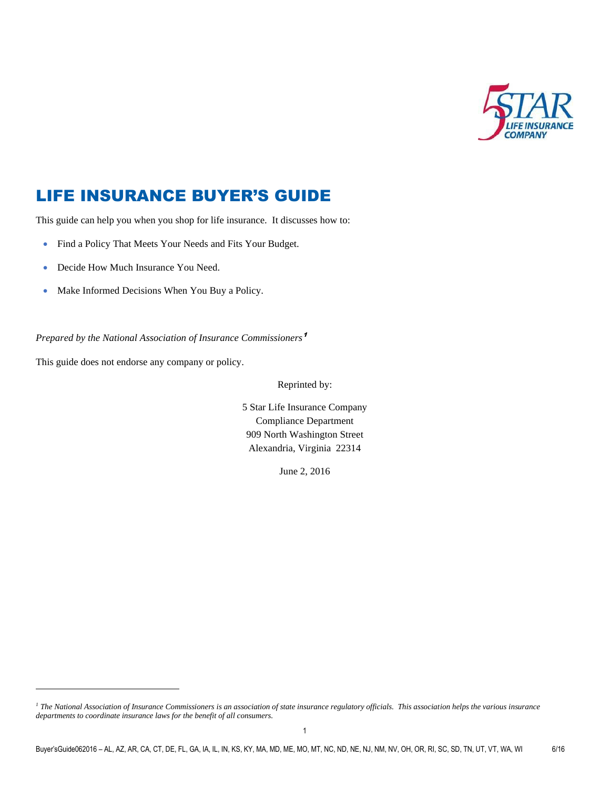

## LIFE INSURANCE BUYER'S GUIDE

This guide can help you when you shop for life insurance. It discusses how to:

- Find a Policy That Meets Your Needs and Fits Your Budget.
- Decide How Much Insurance You Need.
- Make Informed Decisions When You Buy a Policy.

*Prepared by the National Association of Insurance Commissioners*<sup>1</sup>

This guide does not endorse any company or policy.

Reprinted by:

5 Star Life Insurance Company Compliance Department 909 North Washington Street Alexandria, Virginia 22314

June 2, 2016

<sup>&</sup>lt;sup>1</sup> The National Association of Insurance Commissioners is an association of state insurance regulatory officials. This association helps the various insurance *departments to coordinate insurance laws for the benefit of all consumers.*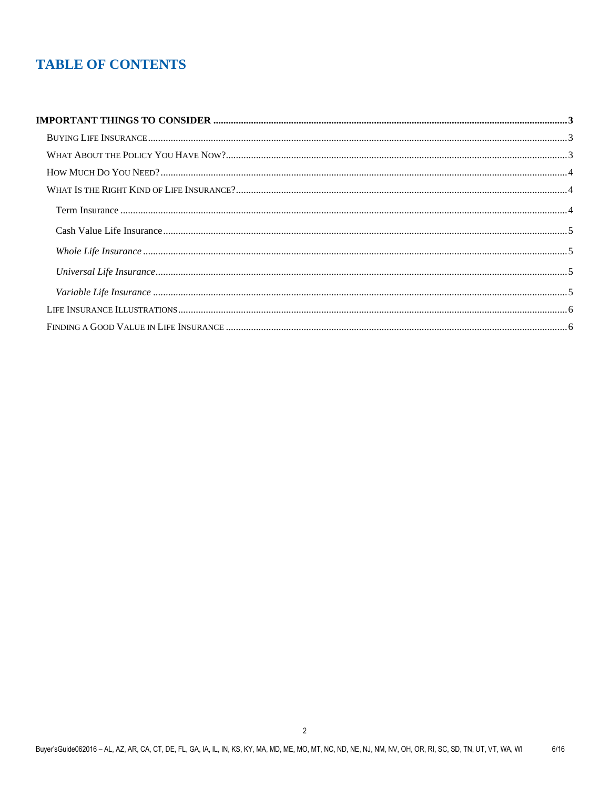## **TABLE OF CONTENTS**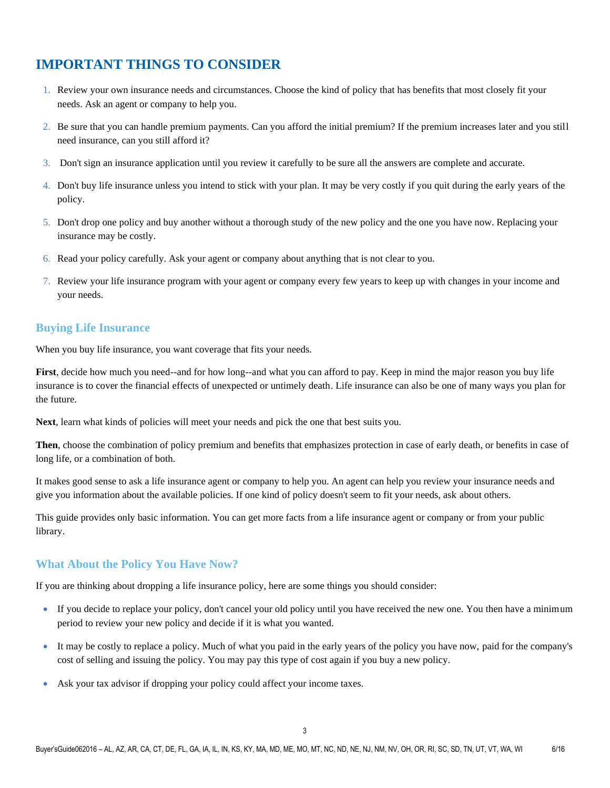## <span id="page-34-0"></span>**IMPORTANT THINGS TO CONSIDER**

- 1. Review your own insurance needs and circumstances. Choose the kind of policy that has benefits that most closely fit your needs. Ask an agent or company to help you.
- 2. Be sure that you can handle premium payments. Can you afford the initial premium? If the premium increases later and you still need insurance, can you still afford it?
- 3. Don't sign an insurance application until you review it carefully to be sure all the answers are complete and accurate.
- 4. Don't buy life insurance unless you intend to stick with your plan. It may be very costly if you quit during the early years of the policy.
- 5. Don't drop one policy and buy another without a thorough study of the new policy and the one you have now. Replacing your insurance may be costly.
- 6. Read your policy carefully. Ask your agent or company about anything that is not clear to you.
- 7. Review your life insurance program with your agent or company every few years to keep up with changes in your income and your needs.

#### <span id="page-34-1"></span>**Buying Life Insurance**

When you buy life insurance, you want coverage that fits your needs.

**First**, decide how much you need--and for how long--and what you can afford to pay. Keep in mind the major reason you buy life insurance is to cover the financial effects of unexpected or untimely death. Life insurance can also be one of many ways you plan for the future.

**Next**, learn what kinds of policies will meet your needs and pick the one that best suits you.

**Then**, choose the combination of policy premium and benefits that emphasizes protection in case of early death, or benefits in case of long life, or a combination of both.

It makes good sense to ask a life insurance agent or company to help you. An agent can help you review your insurance needs and give you information about the available policies. If one kind of policy doesn't seem to fit your needs, ask about others.

This guide provides only basic information. You can get more facts from a life insurance agent or company or from your public library.

#### <span id="page-34-2"></span>**What About the Policy You Have Now?**

If you are thinking about dropping a life insurance policy, here are some things you should consider:

- If you decide to replace your policy, don't cancel your old policy until you have received the new one. You then have a minimum period to review your new policy and decide if it is what you wanted.
- It may be costly to replace a policy. Much of what you paid in the early years of the policy you have now, paid for the company's cost of selling and issuing the policy. You may pay this type of cost again if you buy a new policy.
- Ask your tax advisor if dropping your policy could affect your income taxes.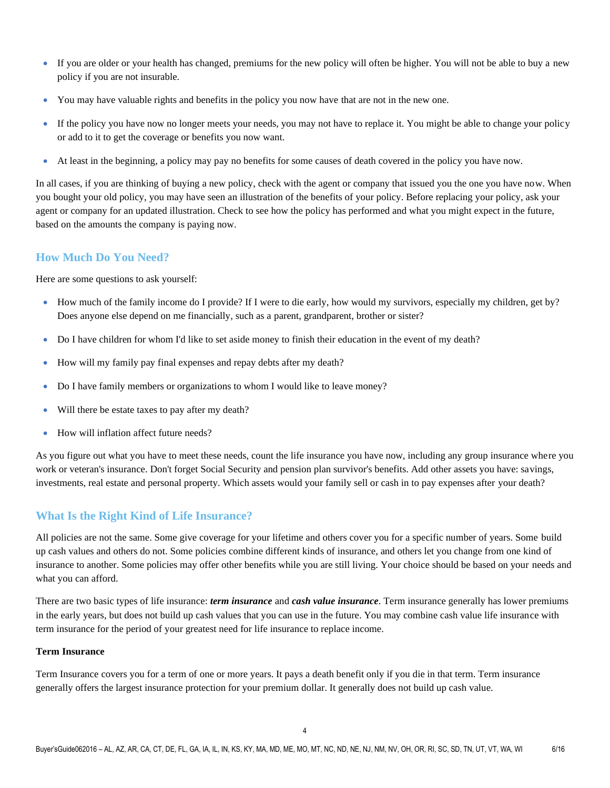- If you are older or your health has changed, premiums for the new policy will often be higher. You will not be able to buy a new policy if you are not insurable.
- You may have valuable rights and benefits in the policy you now have that are not in the new one.
- If the policy you have now no longer meets your needs, you may not have to replace it. You might be able to change your policy or add to it to get the coverage or benefits you now want.
- At least in the beginning, a policy may pay no benefits for some causes of death covered in the policy you have now.

In all cases, if you are thinking of buying a new policy, check with the agent or company that issued you the one you have now. When you bought your old policy, you may have seen an illustration of the benefits of your policy. Before replacing your policy, ask your agent or company for an updated illustration. Check to see how the policy has performed and what you might expect in the future, based on the amounts the company is paying now.

#### <span id="page-35-0"></span>**How Much Do You Need?**

Here are some questions to ask yourself:

- How much of the family income do I provide? If I were to die early, how would my survivors, especially my children, get by? Does anyone else depend on me financially, such as a parent, grandparent, brother or sister?
- Do I have children for whom I'd like to set aside money to finish their education in the event of my death?
- How will my family pay final expenses and repay debts after my death?
- Do I have family members or organizations to whom I would like to leave money?
- Will there be estate taxes to pay after my death?
- How will inflation affect future needs?

As you figure out what you have to meet these needs, count the life insurance you have now, including any group insurance where you work or veteran's insurance. Don't forget Social Security and pension plan survivor's benefits. Add other assets you have: savings, investments, real estate and personal property. Which assets would your family sell or cash in to pay expenses after your death?

#### <span id="page-35-1"></span>**What Is the Right Kind of Life Insurance?**

All policies are not the same. Some give coverage for your lifetime and others cover you for a specific number of years. Some build up cash values and others do not. Some policies combine different kinds of insurance, and others let you change from one kind of insurance to another. Some policies may offer other benefits while you are still living. Your choice should be based on your needs and what you can afford.

There are two basic types of life insurance: *term insurance* and *cash value insurance*. Term insurance generally has lower premiums in the early years, but does not build up cash values that you can use in the future. You may combine cash value life insurance with term insurance for the period of your greatest need for life insurance to replace income.

#### <span id="page-35-2"></span>**Term Insurance**

Term Insurance covers you for a term of one or more years. It pays a death benefit only if you die in that term. Term insurance generally offers the largest insurance protection for your premium dollar. It generally does not build up cash value.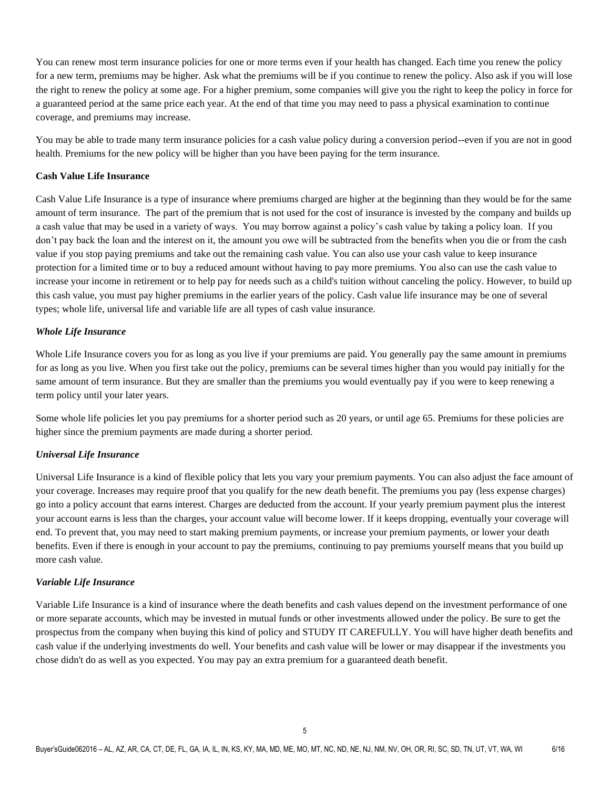You can renew most term insurance policies for one or more terms even if your health has changed. Each time you renew the policy for a new term, premiums may be higher. Ask what the premiums will be if you continue to renew the policy. Also ask if you will lose the right to renew the policy at some age. For a higher premium, some companies will give you the right to keep the policy in force for a guaranteed period at the same price each year. At the end of that time you may need to pass a physical examination to continue coverage, and premiums may increase.

You may be able to trade many term insurance policies for a cash value policy during a conversion period--even if you are not in good health. Premiums for the new policy will be higher than you have been paying for the term insurance.

#### <span id="page-36-0"></span>**Cash Value Life Insurance**

Cash Value Life Insurance is a type of insurance where premiums charged are higher at the beginning than they would be for the same amount of term insurance. The part of the premium that is not used for the cost of insurance is invested by the company and builds up a cash value that may be used in a variety of ways. You may borrow against a policy's cash value by taking a policy loan. If you don't pay back the loan and the interest on it, the amount you owe will be subtracted from the benefits when you die or from the cash value if you stop paying premiums and take out the remaining cash value. You can also use your cash value to keep insurance protection for a limited time or to buy a reduced amount without having to pay more premiums. You also can use the cash value to increase your income in retirement or to help pay for needs such as a child's tuition without canceling the policy. However, to build up this cash value, you must pay higher premiums in the earlier years of the policy. Cash value life insurance may be one of several types; whole life, universal life and variable life are all types of cash value insurance.

#### <span id="page-36-1"></span>*Whole Life Insurance*

Whole Life Insurance covers you for as long as you live if your premiums are paid. You generally pay the same amount in premiums for as long as you live. When you first take out the policy, premiums can be several times higher than you would pay initially for the same amount of term insurance. But they are smaller than the premiums you would eventually pay if you were to keep renewing a term policy until your later years.

Some whole life policies let you pay premiums for a shorter period such as 20 years, or until age 65. Premiums for these policies are higher since the premium payments are made during a shorter period.

#### <span id="page-36-2"></span>*Universal Life Insurance*

Universal Life Insurance is a kind of flexible policy that lets you vary your premium payments. You can also adjust the face amount of your coverage. Increases may require proof that you qualify for the new death benefit. The premiums you pay (less expense charges) go into a policy account that earns interest. Charges are deducted from the account. If your yearly premium payment plus the interest your account earns is less than the charges, your account value will become lower. If it keeps dropping, eventually your coverage will end. To prevent that, you may need to start making premium payments, or increase your premium payments, or lower your death benefits. Even if there is enough in your account to pay the premiums, continuing to pay premiums yourself means that you build up more cash value.

#### <span id="page-36-3"></span>*Variable Life Insurance*

Variable Life Insurance is a kind of insurance where the death benefits and cash values depend on the investment performance of one or more separate accounts, which may be invested in mutual funds or other investments allowed under the policy. Be sure to get the prospectus from the company when buying this kind of policy and STUDY IT CAREFULLY. You will have higher death benefits and cash value if the underlying investments do well. Your benefits and cash value will be lower or may disappear if the investments you chose didn't do as well as you expected. You may pay an extra premium for a guaranteed death benefit.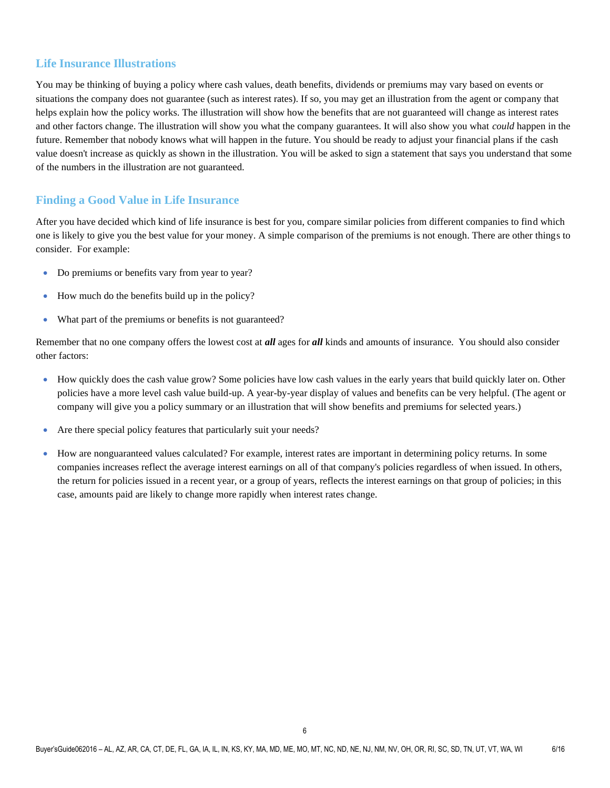#### <span id="page-37-0"></span>**Life Insurance Illustrations**

You may be thinking of buying a policy where cash values, death benefits, dividends or premiums may vary based on events or situations the company does not guarantee (such as interest rates). If so, you may get an illustration from the agent or company that helps explain how the policy works. The illustration will show how the benefits that are not guaranteed will change as interest rates and other factors change. The illustration will show you what the company guarantees. It will also show you what *could* happen in the future. Remember that nobody knows what will happen in the future. You should be ready to adjust your financial plans if the cash value doesn't increase as quickly as shown in the illustration. You will be asked to sign a statement that says you understand that some of the numbers in the illustration are not guaranteed.

#### <span id="page-37-1"></span>**Finding a Good Value in Life Insurance**

After you have decided which kind of life insurance is best for you, compare similar policies from different companies to find which one is likely to give you the best value for your money. A simple comparison of the premiums is not enough. There are other things to consider. For example:

- Do premiums or benefits vary from year to year?
- How much do the benefits build up in the policy?
- What part of the premiums or benefits is not guaranteed?

Remember that no one company offers the lowest cost at *all* ages for *all* kinds and amounts of insurance. You should also consider other factors:

- How quickly does the cash value grow? Some policies have low cash values in the early years that build quickly later on. Other policies have a more level cash value build-up. A year-by-year display of values and benefits can be very helpful. (The agent or company will give you a policy summary or an illustration that will show benefits and premiums for selected years.)
- Are there special policy features that particularly suit your needs?
- How are nonguaranteed values calculated? For example, interest rates are important in determining policy returns. In some companies increases reflect the average interest earnings on all of that company's policies regardless of when issued. In others, the return for policies issued in a recent year, or a group of years, reflects the interest earnings on that group of policies; in this case, amounts paid are likely to change more rapidly when interest rates change.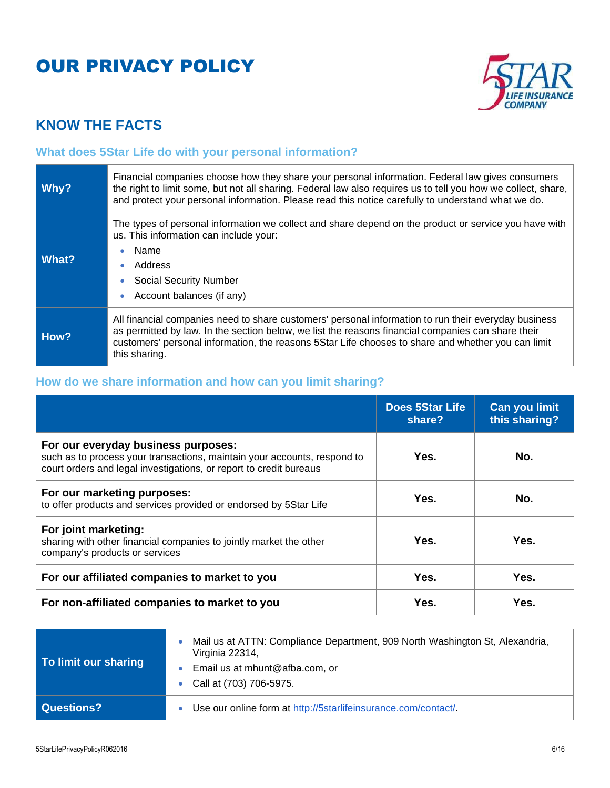# OUR PRIVACY POLICY



## **KNOW THE FACTS**

## **What does 5Star Life do with your personal information?**

| Why?  | Financial companies choose how they share your personal information. Federal law gives consumers<br>the right to limit some, but not all sharing. Federal law also requires us to tell you how we collect, share,<br>and protect your personal information. Please read this notice carefully to understand what we do.           |
|-------|-----------------------------------------------------------------------------------------------------------------------------------------------------------------------------------------------------------------------------------------------------------------------------------------------------------------------------------|
| What? | The types of personal information we collect and share depend on the product or service you have with<br>us. This information can include your:<br>Name<br>Address<br><b>Social Security Number</b><br>Account balances (if any)                                                                                                  |
| How?  | All financial companies need to share customers' personal information to run their everyday business<br>as permitted by law. In the section below, we list the reasons financial companies can share their<br>customers' personal information, the reasons 5Star Life chooses to share and whether you can limit<br>this sharing. |

## **How do we share information and how can you limit sharing?**

|                                                                                                                                                                                       | <b>Does 5Star Life</b><br>share? | <b>Can you limit</b><br>this sharing? |
|---------------------------------------------------------------------------------------------------------------------------------------------------------------------------------------|----------------------------------|---------------------------------------|
| For our everyday business purposes:<br>such as to process your transactions, maintain your accounts, respond to<br>court orders and legal investigations, or report to credit bureaus | Yes.                             | No.                                   |
| For our marketing purposes:<br>to offer products and services provided or endorsed by 5Star Life                                                                                      | Yes.                             | No.                                   |
| For joint marketing:<br>sharing with other financial companies to jointly market the other<br>company's products or services                                                          | Yes.                             | Yes.                                  |
| For our affiliated companies to market to you                                                                                                                                         | Yes.                             | Yes.                                  |
| For non-affiliated companies to market to you                                                                                                                                         | Yes.                             | Yes.                                  |

| To limit our sharing | Mail us at ATTN: Compliance Department, 909 North Washington St, Alexandria,<br>Virginia 22314,<br>Email us at mhunt@afba.com, or<br>Call at (703) 706-5975. |
|----------------------|--------------------------------------------------------------------------------------------------------------------------------------------------------------|
| <b>Questions?</b>    | Use our online form at http://5starlifeinsurance.com/contact/.                                                                                               |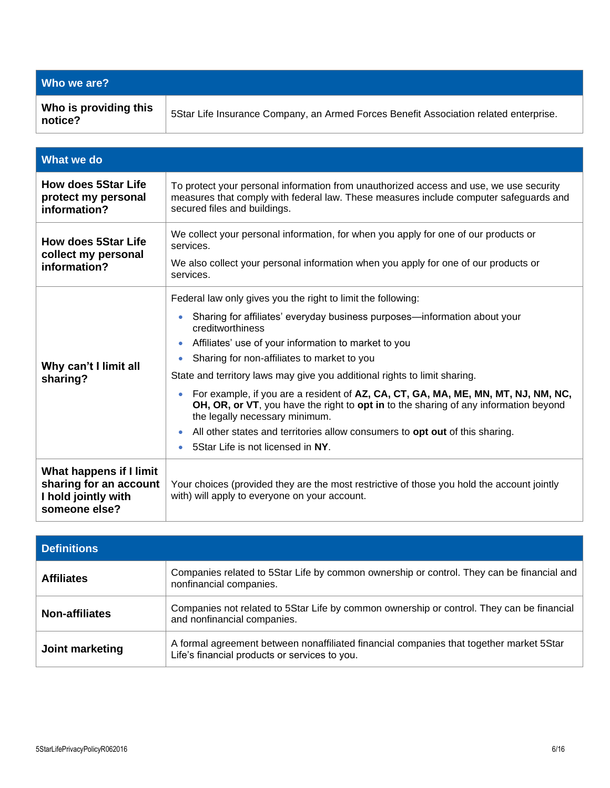| Who we are?                      |                                                                                       |
|----------------------------------|---------------------------------------------------------------------------------------|
| Who is providing this<br>notice? | 5Star Life Insurance Company, an Armed Forces Benefit Association related enterprise. |

| What we do                                                                                |                                                                                                                                                                                                                                                                                                                                                                                                                                                                                                                                                                                                                                                                                                                        |
|-------------------------------------------------------------------------------------------|------------------------------------------------------------------------------------------------------------------------------------------------------------------------------------------------------------------------------------------------------------------------------------------------------------------------------------------------------------------------------------------------------------------------------------------------------------------------------------------------------------------------------------------------------------------------------------------------------------------------------------------------------------------------------------------------------------------------|
| <b>How does 5Star Life</b><br>protect my personal<br>information?                         | To protect your personal information from unauthorized access and use, we use security<br>measures that comply with federal law. These measures include computer safeguards and<br>secured files and buildings.                                                                                                                                                                                                                                                                                                                                                                                                                                                                                                        |
| <b>How does 5Star Life</b><br>collect my personal<br>information?                         | We collect your personal information, for when you apply for one of our products or<br>services.<br>We also collect your personal information when you apply for one of our products or<br>services.                                                                                                                                                                                                                                                                                                                                                                                                                                                                                                                   |
| Why can't I limit all<br>sharing?                                                         | Federal law only gives you the right to limit the following:<br>Sharing for affiliates' everyday business purposes—information about your<br>creditworthiness<br>Affiliates' use of your information to market to you<br>$\bullet$<br>Sharing for non-affiliates to market to you<br>$\bullet$<br>State and territory laws may give you additional rights to limit sharing.<br>For example, if you are a resident of AZ, CA, CT, GA, MA, ME, MN, MT, NJ, NM, NC,<br>OH, OR, or VT, you have the right to opt in to the sharing of any information beyond<br>the legally necessary minimum.<br>All other states and territories allow consumers to <b>opt out</b> of this sharing.<br>5Star Life is not licensed in NY. |
| What happens if I limit<br>sharing for an account<br>I hold jointly with<br>someone else? | Your choices (provided they are the most restrictive of those you hold the account jointly<br>with) will apply to everyone on your account.                                                                                                                                                                                                                                                                                                                                                                                                                                                                                                                                                                            |

| <b>Definitions</b> |                                                                                                                                          |
|--------------------|------------------------------------------------------------------------------------------------------------------------------------------|
| <b>Affiliates</b>  | Companies related to 5Star Life by common ownership or control. They can be financial and<br>nonfinancial companies.                     |
| Non-affiliates     | Companies not related to 5Star Life by common ownership or control. They can be financial<br>and nonfinancial companies.                 |
| Joint marketing    | A formal agreement between nonaffiliated financial companies that together market 5Star<br>Life's financial products or services to you. |